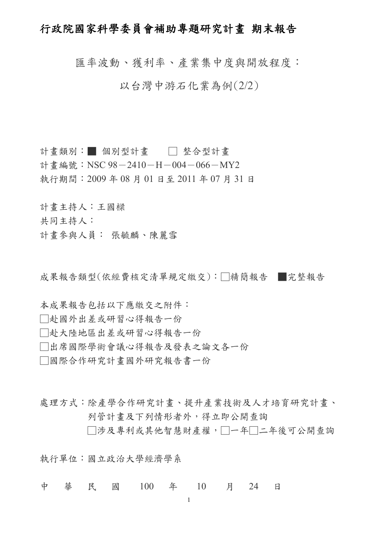# 行政院國家科學委員會補助專題研究計畫 期末報告

匯率波動、獲利率、產業集中度與開放程度:

以台灣中游石化業為例(2/2)

計書類別:■ 個別型計書 □ 整合型計書 計書編號: NSC 98-2410-H-004-066-MY2 執行期間:2009 年 08 月 01 日至 2011 年 07 月 31 日

計畫主持人:王國樑 共同主持人: 計畫參與人員: 張毓麟、陳麗雪

成果報告類型(依經費核定清單規定繳交):□精簡報告 ■完整報告

本成果報告包括以下應繳交之附件:

□赴國外出差或研習心得報告一份

□赴大陸地區出差或研習心得報告一份

□出席國際學術會議心得報告及發表之論文各一份

□國際合作研究計畫國外研究報告書一份

處理方式:除產學合作研究計畫、提升產業技術及人才培育研究計畫、 列管計畫及下列情形者外,得立即公開查詢

□涉及專利或其他智慧財產權,□一年□二年後可公開杳詢

執行單位:國立政治大學經濟學系

中 華 民 國 100 年 10 月 24 日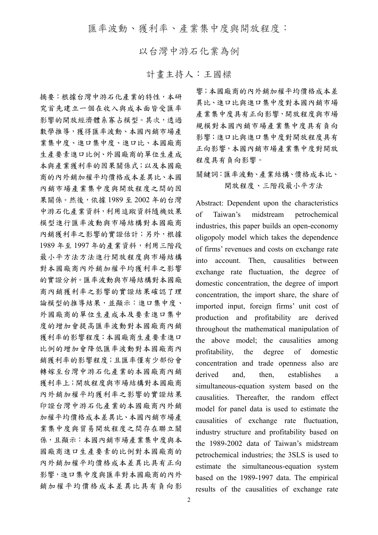匯率波動、獲利率、產業集中度與開放程度:

以台灣中游石化業為例

計畫主持人:王國樑

摘要:根據台灣中游石化產業的特性,本研 究首先建立一個在收入與成本面皆受匯率 影響的開放經濟體系寡占模型。其次,透過 數學推導,獲得匯率波動、本國內銷市場產 業集中度、進口集中度、進口比、本國廠商 生產要素進口比例、外國廠商的單位生產成 本與產業獲利率的因果關係式;以及本國廠 商的內外銷加權平均價格成本差異比、本國 內銷市場產業集中度與開放程度之間的因 果關係。然後,依據 1989 至 2002 年的台灣 中游石化產業資料,利用追蹤資料隨機效果 模型進行匯率波動與市場結構對本國廠商 內銷獲利率之影響的實證估計;另外,根據 1989 年至 1997 年的產業資料,利用三階段 最小平方法方法進行開放程度與市場結構 對本國廠商內外銷加權平均獲利率之影響 的實證分析。匯率波動與市場結構對本國廠 商內銷獲利率之影響的實證結果確認了理 論模型的推導結果,並顯示:進口集中度、 外國廠商的單位生產成本及要素進口集中 度的增加會提高匯率波動對本國廠商內銷 獲利率的影響程度;本國廠商生產要素進口 比例的增加會降低匯率波動對本國廠商內 銷獲利率的影響程度;且匯率僅有少部份會 轉嫁至台灣中游石化產業的本國廠商內銷 獲利率上;開放程度與市場結構對本國廠商 內外銷加權平均獲利率之影響的實證結果 印證台灣中游石化產業的本國廠商內外銷 加權平均價格成本差異比、本國內銷市場產 業集中度與貿易開放程度之間存在聯立關 係,且顯示:本國內銷市場產業集中度與本 國廠商進口生產要素的比例對本國廠商的 內外銷加權平均價格成本差異比具有正向 影響,進口集中度與匯率對本國廠商的內外 銷加權平均價格成本差異比具有負向影

響;本國廠商的內外銷加權平均價格成本差 異比、進口比與進口集中度對本國內銷市場 產業集中度具有正向影響,開放程度與市場 規模對本國內銷市場產業集中度具有負向 影響;進口比與進口集中度對開放程度具有 正向影響,本國內銷市場產業集中度對開放 程度具有負向影響。

關鍵詞:匯率波動、產業結構、價格成本比、 開放程度、三階段最小平方法

Abstract: Dependent upon the characteristics of Taiwan's midstream petrochemical industries, this paper builds an open-economy oligopoly model which takes the dependence of firms' revenues and costs on exchange rate into account. Then, causalities between exchange rate fluctuation, the degree of domestic concentration, the degree of import concentration, the import share, the share of imported input, foreign firms' unit cost of production and profitability are derived throughout the mathematical manipulation of the above model; the causalities among profitability, the degree of domestic concentration and trade openness also are derived and, then, establishes a simultaneous-equation system based on the causalities. Thereafter, the random effect model for panel data is used to estimate the causalities of exchange rate fluctuation, industry structure and profitability based on the 1989-2002 data of Taiwan's midstream petrochemical industries; the 3SLS is used to estimate the simultaneous-equation system based on the 1989-1997 data. The empirical results of the causalities of exchange rate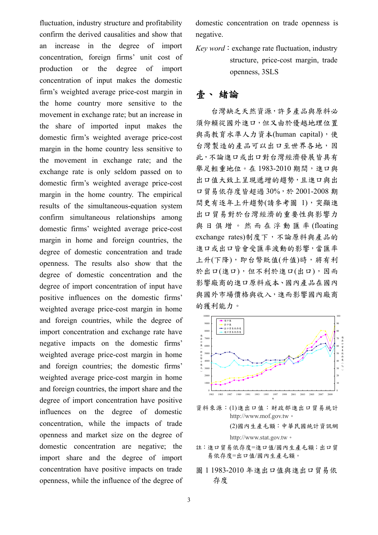fluctuation, industry structure and profitability confirm the derived causalities and show that an increase in the degree of import concentration, foreign firms' unit cost of production or the degree of import concentration of input makes the domestic firm's weighted average price-cost margin in the home country more sensitive to the movement in exchange rate; but an increase in the share of imported input makes the domestic firm's weighted average price-cost margin in the home country less sensitive to the movement in exchange rate; and the exchange rate is only seldom passed on to domestic firm's weighted average price-cost margin in the home country. The empirical results of the simultaneous-equation system confirm simultaneous relationships among domestic firms' weighted average price-cost margin in home and foreign countries, the degree of domestic concentration and trade openness. The results also show that the degree of domestic concentration and the degree of import concentration of input have positive influences on the domestic firms' weighted average price-cost margin in home and foreign countries, while the degree of import concentration and exchange rate have negative impacts on the domestic firms' weighted average price-cost margin in home and foreign countries; the domestic firms' weighted average price-cost margin in home and foreign countries, the import share and the degree of import concentration have positive influences on the degree of domestic concentration, while the impacts of trade openness and market size on the degree of domestic concentration are negative; the import share and the degree of import concentration have positive impacts on trade openness, while the influence of the degree of

domestic concentration on trade openness is negative.

*Key word*: exchange rate fluctuation, industry structure, price-cost margin, trade openness, 3SLS

# 壹、 緒論

 台灣缺乏天然資源,許多產品與原料必 須仰賴從國外進口,但又由於優越地理位置 與高教育水準人力資本(human capital),使 台灣製造的產品可以出口至世界各地,因 此,不論進口或出口對台灣經濟發展皆具有 舉足輕重地位。在1983-2010期間,進口與 出口值大致上呈現遞增的趨勢,且進口與出 口貿易依存度皆超過 30%,於 2001-2008 期 間更有逐年上升趨勢(請參考圖 1),突顯進 出口貿易對於台灣經濟的重要性與影響力 與日俱增。然而在浮動匯率 (floating exchange rates)制度下,不論原料與產品的 進口或出口皆會受匯率波動的影響,當匯率 上升(下降),即台幣貶值(升值)時,將有利 於出口(進口),但不利於進口(出口),因而 影響廠商的進口原料成本、國內產品在國內 與國外市場價格與收入,進而影響國內廠商 的獲利能力。



資料來源:(1)進出口值:財政部進出口貿易統計 [http://www.mof.gov.tw](http://www.mof.gov.tw/)。

(2)國內生產毛額:中華民國統計資訊網 [http://www.stat.gov.tw](http://www.stat.gov.tw/)。

- 註:進口貿易依存度=進口值/國內生產毛額;出口貿 易依存度=出口值/國內生產毛額。
- 圖 1 1983-2010 年進出口值與進出口貿易依 存度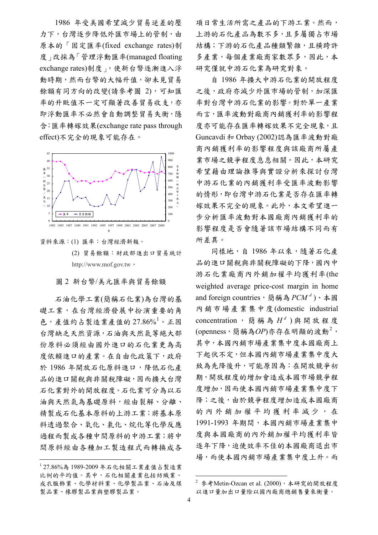1986 年受美國希望減少貿易逆差的壓 力下,台灣逐步降低外匯市場上的管制,由 原本的「固定匯率(fixed exchange rates)制 度」改採為「管理浮動匯率(managed floating exchange rates)制度」,使新台幣逐漸進入浮 動時期,然而台幣的大幅升值,卻未見貿易 餘額有同方向的改變(請參考圖 2),可知匯 率的升贬值不一定可顯著改善留易收支,亦 即浮動匯率不必然會自動調整貿易失衡,隱 含:匯率轉嫁效果(exchange rate pass through effect)不完全的現象可能存在。



- 資料來源:(1) 匯率:台灣經濟新報。
	- (2) 貿易餘額:財政部進出口貿易統計 [http://www.mof.gov.tw](http://www.mof.gov.tw/)。

圖 2 新台幣/美元匯率與貿易餘額

石油化學工業(簡稱石化業)為台灣的基 礎工業,在台灣經濟發展中扮演重要的角  $\hat{\mathcal{L}}$ ,產值約占製造業產值的 27.86%<sup>[1](#page-3-0)</sup>。正因 台灣缺乏天然資源,石油與天然氣等絕大部 份原料必須經由國外進口的石化業更為高 度依賴進口的產業。在自由化政策下,政府 於 1986 年開放石化原料進口,降低石化產 品的進口關稅與非關稅障礙,因而擴大台灣 石化業對外的開放程度。石化業可分為以石 油與天然氣為基礎原料,經由裂解、分離、 精製成石化基本原料的上游工業;將基本原 料透過聚合、氧化、氯化、烷化等化學反應 過程而製成各種中間原料的中游工業;將中 間原料經由各種加工製造程式而轉換成各

 $\overline{a}$ 

項日常生活所需之產品的下游工業。然而, 上游的石化產品為數不多,且多屬獨占市場 結構;下游的石化產品種類繁雜,且橫跨許 多產業,每個產業廠商家數眾多,因此,本 研究僅就中游石化業為研究對象。

 自 1986 年擴大中游石化業的開放程度 之後,政府亦減少外匯市場的管制,加深匯 率對台灣中游石化業的影響。對於單一產業 而言,匯率波動對廠商內銷獲利率的影響程 度亦可能存在匯率轉嫁效果不完全現象,且 Guncavdi 和 Orbay (2002)認為匯率波動對廠 商內銷獲利率的影響程度與該廠商所屬產 業市場之競爭程度息息相關。因此,本研究 希望藉由理論推導與實證分析來探討台灣 中游石化業的內銷獲利率受匯率波動影響 的情形,即台灣中游石化業是否存在匯率轉 嫁效果不完全的現象。此外,本文希望進一 步分析匯率波動對本國廠商內銷獲利率的 影響程度是否會隨著該市場結構不同而有 所差異。

同樣地,自 1986年以來,隨著石化產 品的進口關稅與非關稅障礙的下降,國內中 游石化業廠商內外銷加權平均獲利率(the weighted average price-cost margin in home and foreign countries,簡稱為  $PCM<sup>d</sup>$ )、本國 內銷市場產業集中度(domestic industrial concentration,簡稱為 H<sup>d</sup>)與開放程度 (openness,簡稱為OP)亦存在明顯的波動<sup>[2](#page-3-1)</sup>, 其中,本國內銷市場產業集中度本國廠商上 下起伏不定,但本國內銷市場產業集中度大 致為先降後升,可能原因為:在開放競爭初 期,開放程度的增加會造成本國市場競爭程 度增加,因而使本國內銷市場產業集中度下 降;之後,由於競爭程度增加造成本國廠商 的內外銷加權平均獲利率減少,在 1991-1993 年期間,本國內銷市場產業集中 度與本國廠商的內外銷加權平均獲利率皆 逐年下降,迫使效率不佳的本國廠商退出市 場,而使本國內銷市場產業集中度上升。而

<span id="page-3-1"></span><span id="page-3-0"></span><sup>1</sup> 27.86%為 1989-2009 年石化相關工業產值占製造業 比例的平均值。其中,石化相關產業包括紡織業、 成衣服飾業、化學材料業、化學製品業、石油及煤 製品業、橡膠製品業與塑膠製品業。

 $^2$  參考Metin-Ozcan et al. (2000),本研究的開放程度 以進口量加出口量除以國內廠商總銷售量來衡量。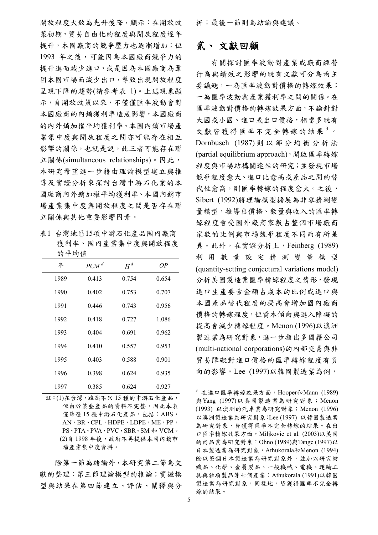開放程度大致為先升後降,顯示:在開放政 策初期,貿易自由化的程度與開放程度逐年 提升,本國廠商的競爭壓力也逐漸增加;但 1993 年之後,可能因為本國廠商競爭力的 提升進而減少進口,或是因為本國廠商為鞏 固本國市場而減少出口,導致出現開放程度 呈現下降的趨勢(請參考表 1)。上述現象顯 示,自開放政策以來,不僅僅匯率波動會對 本國廠商的內銷獲利率造成影響,本國廠商 的內外銷加權平均獲利率、本國內銷市場產 業集中度與開放程度之間亦可能存在相互 影響的關係,也就是說,此三者可能存在聯 立關係(simultaneous relationships)。因此, 本研究希望進一步藉由理論模型建立與推 導及實證分析來探討台灣中游石化業的本 國廠商內外銷加權平均獲利率、本國內銷市 場產業集中度與開放程度之間是否存在聯 立關係與其他重要影響因素。

表1 台灣地區15項中游石化產品國內廠商 獲利率、國內產業集中度與開放程度 的平均值

| 年    | PCM <sup>d</sup> | $H^d$ | OΡ    |
|------|------------------|-------|-------|
| 1989 | 0.413            | 0.754 | 0.654 |
| 1990 | 0.402            | 0.753 | 0.707 |
| 1991 | 0.446            | 0.743 | 0.956 |
| 1992 | 0.418            | 0.727 | 1.086 |
| 1993 | 0.404            | 0.691 | 0.962 |
| 1994 | 0.410            | 0.557 | 0.953 |
| 1995 | 0.403            | 0.588 | 0.901 |
| 1996 | 0.398            | 0.624 | 0.935 |
| 1997 | 0.385            | 0.624 | 0.927 |

<span id="page-4-0"></span>註:(1)在台灣,雖然不只 15 種的中游石化產品, 但由於某些產品的資料不完整,因此本表 僅篩選 15 種中游石化產品,包括: ABS, AN, BR、CPL, HDPE, LDPE, ME, PP, PS、PTA、PVA,PVC,SBR、SM 和 VCM。 (2)自 1998年後,政府不再提供本國內銷市 場產業集中度資料。

 除第一節為緒論外,本研究第二節為文 獻的整理;第三節理論模型的推論;實證模 型與結果在第四節建立、評估、闡釋與分 析;最後一節則為結論與建議。

## 貳、 文獻回顧

 有關探討匯率波動對產業或廠商經營 行為與績效之影響的既有文獻可分為兩主 要議題,一為匯率波動對價格的轉嫁效果; 一為匯率波動與產業獲利率之間的關係。在 匯率波動對價格的轉嫁效果方面,不論針對 大國或小國、進口或出口價格,相當多既有 文獻皆獲得匯率不完全轉嫁的結果[3](#page-4-0)。 Dornbusch (1987) 則以部分均衡分析法 (partial equilibrium approach),開啟匯率轉嫁 程度與市場結構關連性的研究;並發現市場 競爭程度愈大、進口比愈高或產品之間的替 代性愈高,則匯率轉嫁的程度愈大。之後, Sibert (1992)將理論模型擴展為非零猜測變 量模型,推導出價格、數量與收入的匯率轉 嫁程度會受國外廠商家數占整個市場廠商 家數的比例與市場競爭程度不同而有所差 異。此外,在實證分析上,Feinberg (1989) 利用數量設定猜測變量模型 (quantity-setting conjectural variations model) 分析美國製造業匯率轉嫁程度之情形,發現 進口生產要素金額占成本的比例或進口與 本國產品替代程度的提高會增加國內廠商 價格的轉嫁程度,但資本傾向與進入障礙的 提高會減少轉嫁程度。Menon (1996)以澳洲 製造業為研究對象,進一步指出多國籍公司 (multi-national corporations)的內部交易與非 貿易障礙對進口價格的匯率轉嫁程度有負 向的影響。Lee (1997)以韓國製造業為例,

 $3$  在進口匯率轉嫁效果方面,Hooper和Mann (1989) 與Yang (1997)以美國製造業為研究對象;Menon (1993) 以澳洲的汽車業為研究對象;Menon (1996) 以澳洲製造業為研究對象;Lee (1997) 以韓國製造業 為研究對象,皆獲得匯率不完全轉嫁的結果。在出 口匯率轉嫁效果方面,Miljkovic et al. (2003)以美國 的肉品業為研究對象;Ohno (1989)與Tange (1997)以 日本製造業為研究對象,Athukorala和Menon (1994) 除以整個日本製造業為研究對象外,並加以研究紡 織品、化學、金屬製品、一般機械、電機、運輸工 具與雜項製品等七個產業;Athukorala (1991)以韓國 製造業為研究對象,同樣地,皆獲得匯率不完全轉 嫁的結果。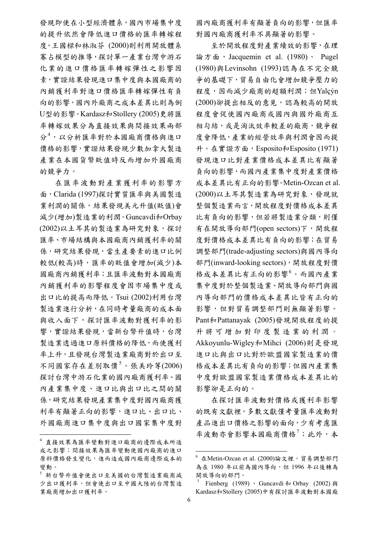發現即使在小型經濟體系,國內市場集中度 的提升依然會降低進口價格的匯率轉嫁程 度。王國樑和林淑芬 (2000)則利用開放體系 寡占模型的推導,探討單一產業台灣中游石 化業的進口價格匯率轉嫁彈性之影響因 素,實證結果發現進口集中度與本國廠商的 內銷獲利率對進口價格匯率轉嫁彈性有負 向的影響,國內外廠商之成本差異比則為倒 U型的影響。Kardasz和Stollery (2005)更將匯 率轉嫁效果分為直接效果與間接效果兩部 分[4](#page-5-0) ,以分析匯率對於本國廠商價格與進口 價格的影響,實證結果發現少數加拿大製造 產業在本國貨幣貶值時反而增加外國廠商 的競爭力。

在匯率波動對產業獲利率的影響方 面,Clarida (1997)探討實質匯率與美國製造 業利潤的關係,結果發現美元升值(貶值)會 減少(增加)製造業的利潤。Guncavdi和Orbay (2002)以土耳其的製造業為研究對象,探討 匯率、市場結構與本國廠商內銷獲利率的關 係,研究結果發現,當生產要素的進口比例 較低(較高)時,匯率的貶值會增加(減少)本 國廠商內銷獲利率;且匯率波動對本國廠商 內銷獲利率的影響程度會因市場集中度或 出口比的提高而降低。Tsui (2002)利用台灣 製造業進行分析,在同時考量廠商的成本面 與收入面下,探討匯率波動對獲利率的影 響,實證結果發現,當新台幣升值時,台灣 製造業透過進口原料價格的降低,而使獲利 率上升,且發現台灣製造業廠商對於出口至 不同國家存在差別取價<sup>[5](#page-5-1)</sup>。張美玲等(2006) 探討台灣中游石化業的國內廠商獲利率、國 內產業集中度、進口比與出口比之間的關 係,研究結果發現產業集中度對國內廠商獲 利率有顯著正向的影響,進口比、出口比、 外國廠商進口集中度與出口國家集中度對

 $\overline{a}$ 

國內廠商獲利率有顯著負向的影響,但匯率 對國內廠商獲利率不具顯著的影響。

至於開放程度對產業績效的影響,在理 論方面, Jacquemin et al. (1980)、 Pugel (1980)與Levinsohn (1993)認為在不完全競 爭的基礎下,貿易自由化會增加競爭壓力的 程度,因而減少廠商的超額利潤;但Yalçýn (2000)卻提出相反的意見,認為較高的開放 程度會促使國內廠商或國內與國外廠商互 相勾結,或是淘汰效率較差的廠商,競爭程 度會降低,產業的經營效率與利潤會因而提 升。在實證方面,Esposito和Esposito (1971) 發現進口比對產業價格成本差異比有顯著 負向的影響,而國內產業集中度對產業價格 成本差異比有正向的影響。Metin-Ozcan et al. (2000)以土耳其製造業為研究對象,發現就 整個製造業而言,開放程度對價格成本差異 比有負向的影響,但若將製造業分類,則僅 有在開放導向部門(open sectors)下,開放程 度對價格成本差異比有負向的影響;在貿易 調整部門(trade-adjusting sectors)與國內導向 部門(inward-looking sectors),開放程度對價 格成本差異比有正向的影響<sup>[6](#page-5-2)</sup>。而國內產業 集中度對於整個製造業、開放導向部門與國 內導向部門的價格成本差異比皆有正向的 影響,但對貿易調整部門則無顯著影響。 Pant和Pattanayak (2005)發現開放程度的提 升將可增加對印度製造業的利潤。 Akkoyunlu-Wigley和Mihci (2006)則是發現 進口比與出口比對於歐盟國家製造業的價 格成本差異比有負向的影響;但國內產業集 中度對歐盟國家製造業價格成本差異比的 影響卻是正向的。

 在探討匯率波動對價格或獲利率影響 的既有文獻裡,多數文獻僅考量匯率波動對 產品進出口價格之影響的面向,少有考慮匯 率波動亦會影響本國廠商價格<sup>[7](#page-5-3)</sup>;此外,本

<u>.</u>

<span id="page-5-2"></span><span id="page-5-0"></span><sup>4</sup> 直接效果為匯率變動對進口廠商的邊際成本所造 成之影響;間接效果為匯率變動使國內廠商的進口 原料價格發生變化,進而造成國內廠商邊際成本的 變動。

<span id="page-5-3"></span><span id="page-5-1"></span><sup>5</sup> 新台幣升值會使出口至美國的台灣製造業廠商減 少出口獲利率,但會使出口至中國大陸的台灣製造 業廠商增加出口獲利率。

 $^6$  在Metin-Ozcan et al. (2000)論文裡,貿易調整部門 為在 1980年以前為國內導向,但 1996年以後轉為 開放導向的部門。

Fienberg (1989) 、 Guncavdi 和 Orbay (2002) 與 Kardasz和Stollery (2005)中有探討匯率波動對本國廠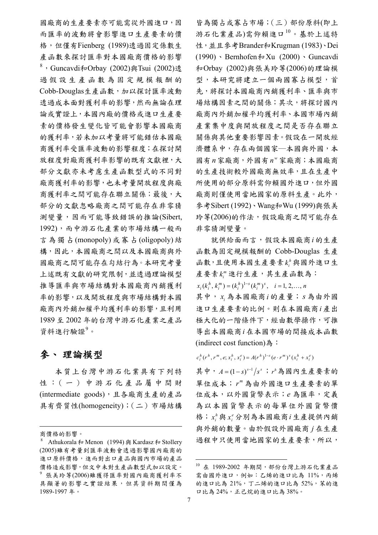國廠商的生產要素亦可能需從外國進口,因 而匯率的波動將會影響進口生產要素的價 格,但僅有Fienberg (1989)透過固定係數生 產函數來探討匯率對本國廠商價格的影響 [8](#page-6-0), Guncavdi和Orbay (2002)與Tsui (2002)透 過假設生產函數為固定規模報酬的 Cobb-Douglas生產函數,加以探討匯率波動 透過成本面對獲利率的影響,然而無論在理 論或實證上,本國內廠的價格或進口生產要 素的價格發生變化皆可能會影響本國廠商 的獲利率,若未加以考量將可能錯估本國廠 商獲利率受匯率波動的影響程度;在探討開 放程度對廠商獲利率影響的既有文獻裡,大 部分文獻亦未考慮生產函數型式的不同對 廠商獲利率的影響,也未考量開放程度與廠 商獲利率之間可能存在聯立關係;最後,大 部分的文獻忽略廠商之間可能存在非零猜 測變量,因而可能導致錯誤的推論(Sibert, 1992),而中游石化產業的市場結構一般而 言為獨占(monopoly)或寡占(oligopoly) 結 構,因此,本國廠商之間以及本國廠商與外 國廠商之間可能存在勾結行為。本研究考量 上述既有文獻的研究限制,並透過理論模型 推導匯率與市場結構對本國廠商內銷獲利 率的影響,以及開放程度與市場結構對本國 廠商內外銷加權平均獲利率的影響,且利用 1989 至 2002 年的台灣中游石化產業之產品 資料進行驗證<sup>[9](#page-6-1)</sup>。

## 參、 理論模型

 本質上台灣中游石化業具有下列特 性:(一)中游石化產品屬中間財 (intermediate goods),且各廠商生產的產品 具有齊質性(homogeneity);(二)市場結構

 $\overline{a}$ 

皆為獨占或寡占市場;(三)部份原料(即上 游石化業產品)需仰賴進口[10](#page-6-2)。基於上述特 性,並且參考Brander和Krugman (1983)、Dei (1990) · Bernhofen  $\frac{1}{4}$  Xu (2000) · Guncavdi 和Orbay (2002)與張美玲等(2006)的理論模 型,本研究將建立一個兩國寡占模型,首 先,將探討本國廠商內銷獲利率、匯率與市 場結構因素之間的關係;其次,將探討國內 廠商內外銷加權平均獲利率、本國市場內銷 產業集中度與開放程度之間是否存在聯立 關係與其他重要影響因素。假設在一開放經 濟體系中,存在兩個國家—本國與外國,本 國有 家廠商,外國有 家廠商;本國廠商 *n <sup>w</sup> n* 的生產技術較外國廠商無效率,且在生產中 所使用的部分原料需仰賴國外進口,但外國 廠商則僅使用當地國家的原料生產。此外, 參考Sibert (1992)、Wang和Wu (1999)與張美 玲等(2006)的作法,假設廠商之間可能存在 非零猜測變量。

就供給面而言,假設本國廠商i的生產 函數為固定規模報酬的 Cobb-Douglas 生產 函數,且使用本國生產要素 $k_i^h$ 與國外進口生 產要素 $k_i^m$ 進行生產,其生產函數為:  $x_i(k_i^h, k_i^m) = (k_i^h)^{1-s} (k_i^m)^s, \quad i = 1, 2, ..., n$ 

其中,  $x_i$ 為本國廠商i的產量; s為由外國 進口生產要素的比例。則在本國廠商*i* 產出 極大化的一階條件下,經由數學操作,可推 導出本國廠商i在本國市場的間接成本函數 (indirect cost function)為:

 $c_i^h(r^h, r^m, e; x_i^h, x_i^e) = A(r^h)^{1-s} (e \cdot r^m)^s (x_i^h + x_i^e)$ 

其中,  $A = (1-s)^{s-1}/s^s$ ;  $r^h$ 為國內生產要素的 單位成本; r<sup>m</sup>為由外國進口生產要素的單 位成本,以外國貨幣表示;*e* 為匯率,定義 為以本國貨幣表示的每單位外國貨幣價 格;  $x_i^h$ 與 $x_i^e$ 分別為本國廠商 $i$ 生產提供內銷 與外銷的數量。由於假設外國廠商 *j* 在生產 過程中只使用當地國家的生產要素,所以,

商價格的影響。

<span id="page-6-2"></span><span id="page-6-1"></span><span id="page-6-0"></span><sup>&</sup>lt;sup>8</sup> Athukorala  $\frac{1}{2}$  Menon (1994)  $\frac{1}{2}$  Kardasz  $\frac{1}{2}$  Stollery (2005)雖有考量到匯率波動會透過影響國內廠商的 進口原料價格,進而對出口產品與國內市場的產品 價格造成影響,但文中未對生產函數型式加以設定。 <sup>9</sup> 張美玲等(2006)雖獲得匯率對國內廠商獲利率不 具顯著的影響之實證結果,但其資料期間僅為 1989-1997 年。

 $10$  在 1989-2002 年期間, 部份台灣上游石化業產品 需由國外進口,例如:乙烯的進口比為 11%,丙烯 的進口比為 21%,丁二烯的進口比為 52%,苯的進 口比為 24%,正己烷的進口比為 38%。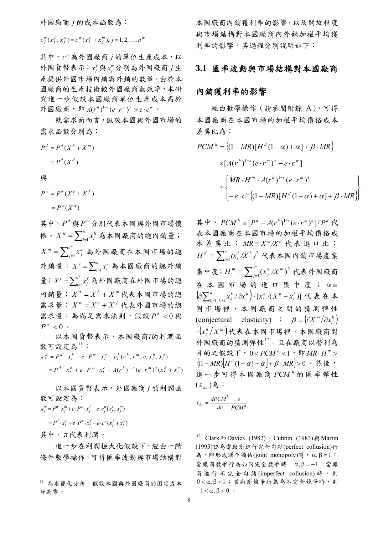外國廠商 *j* 的成本函數為:

 $c_j^w(x_j^f, x_j^m) = c^w(x_j^f + x_j^m), j = 1, 2, ..., n^w$ 

其中,  $c^v$ 為外國廠商 j 的單位生產成本, 以 外國貨幣表示;  $x_j^f$ 與 $x_j^m$ 分別為外國廠商  $j$ 生 產提供外國市場內銷與外銷的數量。由於本 國廠商的生產技術較外國廠商無效率,本研 究進一步假設本國廠商單位生產成本高於 外國廠商,即 $A(r^h)^{1-s}(e \cdot r^m)^s > e \cdot c^w$ 。

 就需求面而言,假設本國與外國市場的 需求函數分別為:

$$
Pd = Pd (Xh + Xm)
$$

$$
= Pd (Xd)
$$

與

 $= P^w(X^w)$  $P^w = P^w(X^e + X^f)$ 

其中, *<sup>d</sup> P* 與 *<sup>w</sup> P* 分別代表本國與外國市場價 格。 $X^h = \sum_{i=1}^n x_i^h$ 為本國廠商的總內銷量;  $=\sum^{n^{w}}_{j=1}x_{j}^{m}$  為外國廠商在本國市場的總 外銷量;  $X^e = \sum_{i=1}^n x_i^e$ 為本國廠商的總外銷 量;  $X^f = \sum_{j=1}^{n^w} x_j^f$  為外國廠商在外國市場的總 內銷量;  $X^d = X^h + X^m$ 代表本國市場的總 *h*  $X^h = \sum_{i=1}^n x_i^h$ *m*  $X^m = \sum\nolimits_{j=1}^n x_j^m$  $X^e = \sum_{i=1}^n x_i^e$  $X^f = \sum_{j=1}^n x_j^f$ 需求量;  $X^w = X^e + X^f$ 代表外國市場的總 需求量;為滿足需求法則,假設  $P^{d'} < 0$ 與  $P^{w'}$  < 0  $\circ$ 

 以本國貨幣表示,本國廠商*i*的利潤函 數可設定為[11](#page-7-0):

 $= P^d \cdot x_i^h + e \cdot P^w \cdot x_i^e - A(r^h)^{1-s} (e \cdot r^m)^s (x_i^h + x_i^e)$  $\pi_i^d = P^d \cdot x_i^h + e \cdot P^w \cdot x_i^e - c_i^h(r^h, r^m, e; x_i^h, x_i^e)$ 

 以本國貨幣表示,外國廠商 *j* 的利潤函 數可設定為:

 $\pi_j^w = P^d \cdot x_j^m + e \cdot P^w \cdot x_j^f - e \cdot c_j^w (x_j^f, x_j^m)$ 

 $P^d \cdot x_j^m + e \cdot P^w \cdot x_j^f - e \cdot c^w (x_j^f + x_j^m)$ 

<span id="page-7-1"></span>其中, π代表利潤。

 $\overline{a}$ 

 進一步在利潤極大化假設下,經由一階 條件數學操作,可得匯率波動與市場結構對

本國廠商內銷獲利率的影響,以及開放程度 與市場結構對本國廠商內外銷加權平均獲 利率的影響,其過程分別說明如下:

### **3.1** 匯率波動與市場結構對本國廠商

#### 內銷獲利率的影響

 經由數學操作(請參閱附錄 A),可得 本國廠商在本國市場的加權平均價格成本 差異比為:

$$
PCM^{h} = \{(1 - MR)[H^{d}(1 - \alpha) + \alpha] + \beta \cdot MR\}
$$
  
 
$$
\times [A(r^{h})^{1-s} (e \cdot r^{m})^{s} - e \cdot c^{w}]
$$
  

$$
\div \begin{cases} MR \cdot H^{m} \cdot A(r^{h})^{1-s} (e \cdot r^{m})^{s} \\ - e \cdot c^{w} \{(1 - MR)[H^{d}(1 - \alpha) + \alpha] + \beta \cdot MR\} \end{cases}
$$

其中,  $PCM^h \equiv [P^d - A(r^h)^{1-s} (e \cdot r^m)^s]/P^d$ 代 表本國廠商在本國市場的加權平均價格成 本差異比;  $MR \equiv X^m / X^d$ 代表進口比;  $\equiv \sum_{i=1}^n$  $h / V h$  $H^d = \sum_{i=1}^n (x_i^h/X^h)^2$  代表本國內銷市場產業 集中度;  $H^m = \sum_{j=1}^{n^w} (x_j^m / X^m)^2$  代表外國廠商 在本國市場的進口集中度; $\alpha$  =  $m / V$ *m*  $H^m \equiv \sum_{j=1}^n (x_j^m/X_j)$  $(x_{i}^{m}/X^{m})^{2}$  $\left( \partial \sum_{k=1}^n x_k^h / \partial x_i^h \right)$ *n*  $k=1, k\neq i$  $\partial \sum_{k=1,\,k\neq i}^n x_k^h \,/\, \partial x_i^h \Big) \cdot \bigl[ x_i^h \,/(X^h-x_i^h) \bigr] \,\, \textcolor{red}{\textbf{R}} \, \textcolor{red}{\textbf{\textit{\^{k}}}} \, \textcolor{red}{\textbf{\textit{\^{k}}}} \, \textcolor{red}{\textbf{\textit{\^{k}}}} \, \textcolor{red}{\textbf{\textit{\^{k}}}} \, \textcolor{red}{\textbf{\textit{\^{k}}}} \, \textcolor{red}{\textbf{\textit{\^{k}}}} \, \textcolor{red}{\textbf{\textit{\^{k}}}} \, \textcolor{red}{\textbf$ 國市場裡,本國廠商之間的猜測彈性 (conjectural elasticity) ;  $\beta = (\partial X^m / \partial x_i^h)$ ( ) *mh* ⋅ *<sup>i</sup> Xx* 代表在本國市場裡,本國廠商對 外國廠商的猜測彈性[12](#page-7-1)。且在廠商以營利為 日的之假設下, 0<PCM<sup>h</sup> <1, 即 MR·H<sup>m</sup> >  $\{(1-MR)\left[H^d(1-\alpha)+\alpha\right]+\beta\cdot MR\}>0$  ∘ 然後, 進一步可得本國廠商 PCM<sup>,</sup>的匯率彈性  $(\, \epsilon_{_{he}})$ 為:

$$
\varepsilon_{he} = \frac{dPCM^h}{de} \frac{e}{PCM^h}
$$

<span id="page-7-0"></span><sup>11</sup> 為求簡化分析,假設本國與外國廠商的固定成本 皆為零。

 $12$  Clark 和 Davies (1982)、Cubbin (1983) 與 Martin (1993)認為當廠商進行完全勾結(perfect collusion)行 為, 即形成聯合獨佔(joint monopoly)時,  $\alpha, \beta = 1$ ; 當廠商競爭行為如同完全競爭時, α,β = -1;當廠 商進行不完全勾結 (imperfect collusion) 時,則  $0 < \alpha, \beta < 1$ ; 當廠商競爭行為為不完全競爭時,則  $-1 < \alpha, \beta < 0$ .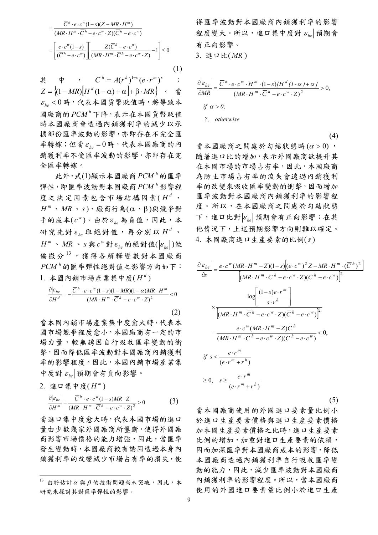$$
= \frac{\overline{C}^h \cdot e \cdot c^w (1-s)(Z - MR \cdot H^m)}{(MR \cdot H^m \cdot \overline{C}^h - e \cdot c^w \cdot Z)(\overline{C}^h - e \cdot c^w)}
$$

$$
= \left[ \frac{e \cdot c^w (1-s)}{(\overline{C}^h - e \cdot c^w)} \right] \left[ \frac{Z(\overline{C}^h - e \cdot c^w)}{(MR \cdot H^m \cdot \overline{C}^h - e \cdot c^w \cdot Z)} - 1 \right] \le 0
$$

$$
(1)
$$

其 中 ,  $\overline{C}^h = A(r^h)^{1-s} (e \cdot r^m)^s$  $Z = \{(1 - MR)[H^d(1-\alpha) + \alpha] + \beta \cdot MR\}$  · 當  $\varepsilon_{he}$ <0時,代表本國貨幣貶值時,將導致本 圆廠商的PCM<sup>h</sup>下降,表示在本國貨幣貶值 時本國廠商會透過內銷獲利率的減少以承 擔部份匯率波動的影響,亦即存在不完全匯  $\tilde{\ensuremath{\mathscr{F}}}$ 轉嫁;但當 $\varepsilon_{\ensuremath{hc}}$  = 0時,代表本國廠商的內 銷獲利率不受匯率波動的影響,亦即存在完 全匯率轉嫁。

比外,式 $(1)$ 顯示本國廠商  $PCM$ <sup> $h$ </sup>的匯率 彈性,即匯率波動對本國廠商 PCM<sup>,</sup>影響程 度之決定因素包含市場結構因素( *<sup>d</sup> H* 、  $H$ <sup>m</sup> 、 *MR* 、 *s*)、廠商行為(α、β)與競爭對 手的成本 $(c<sup>w</sup>)$ 。由於ε<sub>he</sub>為負值,因此,本 研究先對 ε<sub>he</sub> 取絕對值,再分別以 Η<sup>d</sup>、  $H^m \sim MR \sim s$ 與  $c^w$ 對 ε<sub>ke</sub> 的絕對值( $|\varepsilon_{k_e}|$ )做 偏微分[13](#page-8-0),獲得各解釋變數對本國廠商 的匯率彈性絕對值之影響方向如下: *<sup>h</sup> PCM* 1. 本國內銷市場產業集中度 $(H^d)$ 

$$
\frac{\partial |\varepsilon_{he}|}{\partial H^d} = -\frac{\overline{C}^h \cdot e \cdot c^w (1-s)(1-MR)(1-\alpha)MR \cdot H^m}{(MR \cdot H^m \cdot \overline{C}^h - e \cdot c^w \cdot Z)^2} < 0
$$

 $(2)$ 

當本國內銷市場產業集中度愈大時,代表本 國市場競爭程度愈小,本國廠商有一定的市 場力量,較無誘因自行吸收匯率變動的衝 擊,因而降低匯率波動對本國廠商內銷獲利 率的影響程度。因此,本國內銷市場產業集  $\frac{1}{2}$  中度對 $\varepsilon_{he}$  預期會有負向影響。

 $2.$  進口集中度 $(H<sup>m</sup>)$ 

 $\overline{a}$ 

$$
\frac{\partial |\varepsilon_{he}|}{\partial H^m} = \frac{\overline{C}^h \cdot e \cdot c^w (1-s) M R \cdot Z}{\left(M R \cdot H^m \cdot \overline{C}^h - e \cdot c^w \cdot Z\right)^2} > 0
$$
 (3)

當進口集中度愈大時,代表本國市場的進口 量由少數幾家外國廠商所壟斷,使得外國廠 商影響市場價格的能力增強,因此,當匯率 發生變動時,本國廠商較有誘因透過本身內 銷獲利率的改變減少市場占有率的損失,使 得匯率波動對本國廠商內銷獲利率的影響 程度變大。所以,進口集中度對  $\varepsilon_{\scriptscriptstyle h}$  預期會 有正向影響。 3. 進口比( *MR* )

$$
\frac{\partial |\varepsilon_{he}|}{\partial MR} = \frac{\overline{C}^h \cdot e \cdot c^w \cdot H^m \cdot (1-s)[H^d (1-\alpha) + \alpha]}{(MR \cdot H^m \cdot \overline{C}^h - e \cdot c^w \cdot Z)^2} > 0,
$$
  
if  $\alpha > 0$ ;  
?, otherwise

(4)

當本國廠商之間處於勾結狀態時 $(\alpha > 0)$ , 隨著進口比的增加,表示外國廠商欲提升其 在本國市場的市場占有率,因此,本國廠商 為防止市場占有率的流失會透過內銷獲利 率的改變來吸收匯率變動的衝擊,因而增加 匯率波動對本國廠商內銷獲利率的影響程 度。所以,在本國廠商之間處於勾結狀態  $\top$ ,進口比對 $|\varepsilon_{he}|$ 預期會有正向影響;在其 他情況下,上述預期影響方向則難以確定。 4. 本國廠商進口生產要素的比例(*s*)

$$
\frac{\partial |\varepsilon_{he}|}{\partial s} = \frac{e \cdot c^w (MR \cdot H^m - Z)(1-s) \left[ (e \cdot c^w)^2 Z - MR \cdot H^m \cdot (\overline{C}^h)^2 \right]}{\left[ (MR \cdot H^m \cdot \overline{C}^h - e \cdot c^w \cdot Z)(\overline{C}^h - e \cdot c^w) \right]^2}
$$

$$
\times \frac{\log \left[ \frac{(1-s)e \cdot r^m}{s \cdot r^h} \right]}{\left[ (MR \cdot H^m \cdot \overline{C}^h - e \cdot c^w \cdot Z)(\overline{C}^h - e \cdot c^w) \right]^2}
$$

$$
- \frac{e \cdot c^w (MR \cdot H^m - Z)\overline{C}^h}{(MR \cdot H^m \cdot \overline{C}^h - e \cdot c^w \cdot Z)(\overline{C}^h - e \cdot c^w)} < 0,
$$
  
if  $s < \frac{e \cdot r^m}{(e \cdot r^m + r^h)}$ 
$$
\ge 0, \quad s \ge \frac{e \cdot r^m}{(e \cdot r^m + r^h)}
$$

$$
(5)
$$

當本國廠商使用的外國進口要素量比例小 於進口生產要素價格與進口生產要素價格 加本國生產要素價格之比時,進口生產要素 比例的增加,加重對進口生產要素的依賴, 因而加深匯率對本國廠商成本的影響,降低 本國廠商透過內銷獲利率自行吸收匯率變 動的能力,因此,減少匯率波動對本國廠商 內銷獲利率的影響程度。所以,當本國廠商 使用的外國進口要素量比例小於進口生產

<span id="page-8-0"></span> $^{13}$  由於估計α與β的技術問題尚未突破,因此,本 研究未探討其對匯率彈性的影響。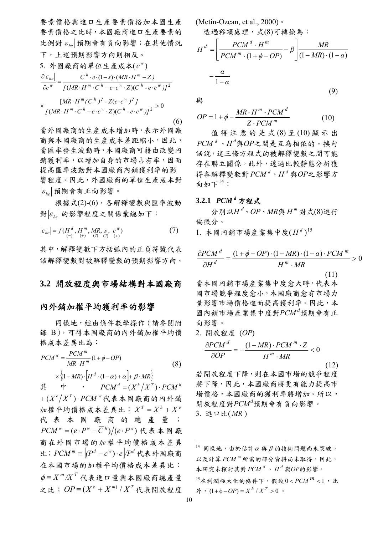要素價格與進口生產要素價格加本國生產 要素價格之比時,本國廠商進口生產要素的  $\left| \mathcal{E}_{h} \right|$ 預期會有負向影響;在其他情況 下,上述預期影響方向則相反。

5. 
$$
\oint \mathbb{R} \hat{\mathbb{B}} \hat{\mathbb{B}} \hat{\mathbb{B}} \hat{\mathbb{B}} \hat{\mathbb{B}} \hat{\mathbb{B}} \hat{\mathbb{B}} \hat{\mathbb{E}} \underline{\mathbb{E}} \hat{\mathbb{E}} \hat{\mathbb{X}} \hat{\mathbb{X}}(c^{\mathbf{w}})
$$
\n
$$
\frac{\partial |\varepsilon_{he}|}{\partial c^{\mathbf{w}}} = \frac{\overline{C}^h \cdot e \cdot (1-s) \cdot (MR \cdot H^m - Z)}{[(MR \cdot H^m \cdot \overline{C}^h - e \cdot c^{\mathbf{w}} \cdot Z)(\overline{C}^h - e \cdot c^{\mathbf{w}})]^2}
$$
\n
$$
\times \frac{[MR \cdot H^m (\overline{C}^h)^2 - Z(e \cdot c^{\mathbf{w}})^2]}{[(MR \cdot H^m \cdot \overline{C}^h - e \cdot c^{\mathbf{w}} \cdot Z)(\overline{C}^h - e \cdot c^{\mathbf{w}})]^2} > 0
$$
\n(6)

當外國廠商的生產成本增加時,表示外國廠 商與本國廠商的生產成本差距縮小,因此, 當匯率發生波動時,本國廠商可藉由改變內 銷獲利率,以增加自身的市場占有率,因而 提高匯率波動對本國廠商內銷獲利率的影 響程度。因此,外國廠商的單位生產成本對  $|\varepsilon_{k_0}|$ 預期會有正向影響。

 根據式(2)-(6),各解釋變數與匯率波動 對 εμ 的影響程度之關係彙總如下:

$$
|\varepsilon_{he}| = f(H^d, H^m, MR, s, c^w) \n(\frac{7}{2})
$$

其中,解釋變數下方括弧內的正負符號代表 該解釋變數對被解釋變數的預期影響方向。

#### **3.2** 開放程度與市場結構對本國廠商

#### 內外銷加權平均獲利率的影響

 同樣地,經由條件數學操作(請參閱附 錄 B),可得本國廠商的內外銷加權平均價 格成本差異比為:

$$
PCM^{d} = \frac{PCM^{m}}{MR \cdot H^{m}} (1 + \phi - OP)
$$
  
 
$$
\times \{ (1 - MR) \cdot \left[ H^{d} \cdot (1 - \alpha) + \alpha \right] + \beta \cdot MR \}
$$
 (8)

<span id="page-9-1"></span><span id="page-9-0"></span>其 中 ,  $PCM^d = (X^h / X^T) \cdot PCM^h$  $f + (X^e/X^T) \cdot PCM^w$ 代表本國廠商的內外銷  $m \ddot{\mathbf{\mathcal{R}}}$  平均價格成本差異比;  $X^T = X^h + X^e$ 代表本國廠商的總產量;  $PCM^{w} = (e \cdot P^{w} - \overline{C}^{h})/(e \cdot P^{w})$ 代表本國廠 商在外國市場的加權平均價格成本差異 比;  $PCM^{m}$  =  $[ (P^{d} - c^{w}) \cdot e] / P^{d}$  代表外國廠商 在本國市場的加權平均價格成本差異比;  $\phi$  =  $X^m/X^T$  代表進口量與本國廠商總產量 之比;  $OP \equiv (X^e + X^m) / X^T$ 代表開放程度

$$
(\text{Metin-Ozcan, et al., 2000}) \cdot \n\mathcal{L} \otimes \mathcal{L} \otimes \mathcal{L} \otimes \mathcal{L} \otimes \mathcal{L} \otimes \mathcal{L} \otimes \mathcal{L} \otimes \mathcal{L} \otimes \mathcal{L} \otimes \mathcal{L} \otimes \mathcal{L} \otimes \mathcal{L} \otimes \mathcal{L} \otimes \mathcal{L} \otimes \mathcal{L} \otimes \mathcal{L} \otimes \mathcal{L} \otimes \mathcal{L} \otimes \mathcal{L} \otimes \mathcal{L} \otimes \mathcal{L} \otimes \mathcal{L} \otimes \mathcal{L} \otimes \mathcal{L} \otimes \mathcal{L} \otimes \mathcal{L} \otimes \mathcal{L} \otimes \mathcal{L} \otimes \mathcal{L} \otimes \mathcal{L} \otimes \mathcal{L} \otimes \mathcal{L} \otimes \mathcal{L} \otimes \mathcal{L} \otimes \mathcal{L} \otimes \mathcal{L} \otimes \mathcal{L} \otimes \mathcal{L} \otimes \mathcal{L} \otimes \mathcal{L} \otimes \mathcal{L} \otimes \mathcal{L} \otimes \mathcal{L} \otimes \mathcal{L} \otimes \mathcal{L} \otimes \mathcal{L} \otimes \mathcal{L} \otimes \mathcal{L} \otimes \mathcal{L} \otimes \mathcal{L} \otimes \mathcal{L} \otimes \mathcal{L} \otimes \mathcal{L} \otimes \mathcal{L} \otimes \mathcal{L} \otimes \mathcal{L} \otimes \mathcal{L} \otimes \mathcal{L} \otimes \mathcal{L} \otimes \mathcal{L} \otimes \mathcal{L} \otimes \mathcal{L} \otimes \mathcal{L} \otimes \mathcal{L} \otimes \mathcal{L} \otimes \mathcal{L} \otimes \mathcal{L} \otimes \mathcal{L} \otimes \mathcal{L} \otimes \mathcal{L} \otimes \mathcal{L} \otimes \mathcal{L} \otimes \mathcal{L} \otimes \mathcal{L} \otimes \mathcal{L} \otimes \mathcal{L} \otimes \mathcal{L} \otimes \mathcal{L} \otimes \mathcal{L} \otimes \mathcal{L} \otimes \mathcal{L} \otimes \mathcal{L} \ot
$$

與

$$
OP = 1 + \phi - \frac{MR \cdot H^m \cdot PCM^d}{Z \cdot PCM^m}
$$
 (10)

 值得注意的是式 (8) 至 (10) 顯示出 、*H <sup>d</sup> PCM <sup>d</sup>* 與*OP*之間是互為相依的。換句 話說,這三條方程式的被解釋變數之間可能 存在聯立關係。此外,透過比較靜態分析獲 得各解釋變數對 *PCM <sup>d</sup>* 、 *<sup>d</sup> H* 與*OP*之影響方 向如下 $14:$  $14:$ 

#### 3.2.1  $PCM^d$  方程式

 分別以*H <sup>d</sup>* 、*OP*、*MR*與 *<sup>m</sup> H* 對式(8)進行 偏微分。

1. 本國內銷市場產業集中度 $(H<sup>d</sup>)$ <sup>[15](#page-9-1)</sup>

$$
\frac{\partial PCM}{\partial H^d} = \frac{(1 + \phi - OP) \cdot (1 - MR) \cdot (1 - \alpha) \cdot PCM^m}{H^m \cdot MR} > 0
$$
\n(11)

當本國內銷市場產業集中度愈大時,代表本 國市場競爭程度愈小,本國廠商愈有市場力 量影響市場價格進而提高獲利率。因此,本 國內銷市場產業集中度對*PCM <sup>d</sup>* 預期會有正 向影響。

2. 
$$
\begin{aligned} \n\text{2. } \n\mathbb{H} \n\mathcal{H} \n\mathcal{H} \n\mathcal{H} &= \frac{(OP)}{1 - MR} \cdot PCM^m \cdot Z}{H^m \cdot MR} < 0 \n\end{aligned} \n\tag{12}
$$

若開放程度下降,則在本國市場的競爭程度 將下降,因此,本國廠商將更有能力提高市 場價格,本國廠商的獲利率將增加。所以, 開放程度對*PCM<sup>d</sup>* 預期會有負向影響。 3. 進口比( *MR* )

<sup>1</sup>  $14$  同樣地,由於估計α與β的技術問題尚未突破, 以及計算 PCM<sup>m</sup> 所需的部分資料尚未取得,因此,  $A \rightarrow A \rightarrow A \rightarrow A$  *PCM*<sup>d</sup> 、 *H*<sup>d</sup> 與OP的影響。 15在利潤極大化的條件下,假設 0< PCM<sup>m</sup><1,此  $\mathcal{P}$  *i* (1+φ-*OP*) =  $X^h$  /  $X^T > 0$  ∘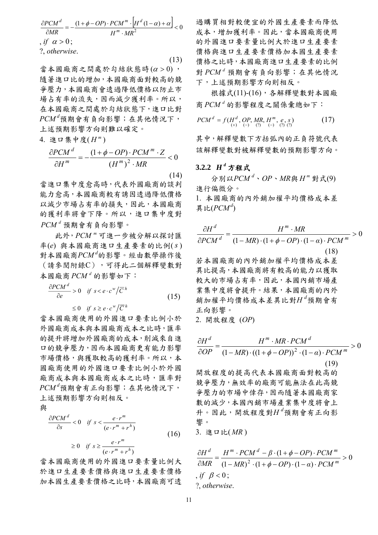$$
\frac{\partial PCM^{d}}{\partial MR} = -\frac{(1+\phi-OP) \cdot PCM^{m} \cdot \left[H^{d}(1-\alpha)+\alpha\right]}{H^{m} \cdot MR^{2}} < 0
$$
\n*, if*  $\alpha > 0$ ;  
\n? , otherwise. (13)

當本國廠商之間處於勾結狀態時  $(\alpha > 0)$ , 隨著進口比的增加,本國廠商面對較高的競 爭壓力,本國廠商會透過降低價格以防止市 場占有率的流失,因而減少獲利率。所以, 在本國廠商之間處於勾結狀態下,進口比對 *PCM <sup>d</sup>* 預期會有負向影響;在其他情況下, 上述預期影響方向則難以確定。

4. 進口集中度(
$$
H^m
$$
)

$$
\frac{\partial PCM^{d}}{\partial H^{m}} = -\frac{(1+\phi-OP) \cdot PCM^{m} \cdot Z}{\left(H^{m}\right)^{2} \cdot MR} < 0
$$
\n(14)

當進口集中度愈高時,代表外國廠商的談判 能力愈高,本國廠商較有誘因透過降低價格 以減少市場占有率的損失,因此,本國廠商 的獲利率將會下降。所以,進口集中度對 *PCM <sup>d</sup>* 預期會有負向影響。

 此外, 可進一步被分解以探討匯 *<sup>m</sup> PCM* 率(e) 與本國廠商進口生產要素的比例(s) 對本國廠商*PCM d* 的影響。經由數學操作後 (請參閱附錄C),可得此二個解釋變數對  $\frac{1}{2}$  **a** 蘭  $PCM$ <sup>*d*</sup> 的影響如下:

$$
\frac{\partial PCM^d}{\partial e} > 0 \quad \text{if } s < e \cdot c^w / \overline{C}^h
$$
\n
$$
\leq 0 \quad \text{if } s \geq e \cdot c^w / \overline{C}^h \tag{15}
$$

當本國廠商使用的外國進口要素比例小於 外國廠商成本與本國廠商成本之比時,匯率 的提升將增加外國廠商的成本,削減來自進 口的競爭壓力,因而本國廠商更有能力影響 市場價格,與獲取較高的獲利率。所以,本 國廠商使用的外國進口要素比例小於外國 廠商成本與本國廠商成本之比時,匯率對 *PCM <sup>d</sup>* 預期會有正向影響;在其他情況下, 上述預期影響方向則相反。

與

)( 0 )( 0 *hm m hm d m rre re sif rre re sif s PCM* +⋅ <sup>⋅</sup> ≥≥ +⋅ <sup>⋅</sup> << ∂ ∂ (16)

當本國廠商使用的外國進口要素量比例大 於進口生產要素價格與進口生產要素價格 加本國生產要素價格之比時,本國廠商可透

過購買相對較便宜的外國生產要素而降低 成本,增加獲利率。因此,當本國廠商使用 的外國進口要素量比例大於進口生產要素 價格與進口生產要素價格加本國生產要素 價格之比時,本國廠商進口生產要素的比例 對  $PCM^d$  預期會有負向影響; 在其他情況 下,上述預期影響方向則相反。

 根據式(11)-(16),各解釋變數對本國廠 商 的影響程度之關係彙總如下: *<sup>d</sup> PCM*

$$
PCMd = f(Hd, OP, MR, Hm, e, s) \t(17)
$$
  
(+) (-) (?) (-) (2) (2)

其中,解釋變數下方括弧內的正負符號代表 該解釋變數對被解釋變數的預期影響方向。

#### **3.2.2** *<sup>d</sup> H* 方程式

 分別以*PCM d* 、*OP*、*MR*與 *<sup>m</sup> H* 對式(9) 進行偏微分。 1. 本國廠商的內外銷加權平均價格成本差 異比 $(PCM^{d})$ 

$$
\frac{\partial H^d}{\partial PCM^d} = \frac{H^m \cdot MR}{(1 - MR) \cdot (1 + \phi - OP) \cdot (1 - \alpha) \cdot PCM^m} > 0
$$
\n
$$
\begin{aligned}\n\ddot{\mathcal{L}} &\times \mathbf{R} &\times \mathbf{R} &\times \mathbf{R} &\times \mathbf{R} &\times \mathbf{R} \\
\ddot{\mathcal{L}} &\times \mathbf{R} &\times \mathbf{R} &\times \mathbf{R} &\times \mathbf{R} &\times \mathbf{R} \\
\ddot{\mathcal{L}} &\times \mathbf{R} &\times \mathbf{R} &\times \mathbf{R} &\times \mathbf{R} &\times \mathbf{R} &\times \mathbf{R} &\times \mathbf{R} \\
\mathbf{R} &\times \mathbf{R} &\times \mathbf{R} &\times \mathbf{R} &\times \mathbf{R} &\times \mathbf{R} &\times \mathbf{R} &\times \mathbf{R} \\
\mathbf{R} &\times \mathbf{R} &\times \mathbf{R} &\times \mathbf{R} &\times \mathbf{R} &\times \mathbf{R} &\times \mathbf{R} &\times \mathbf{R} \\
\mathbf{R} &\times \mathbf{R} &\times \mathbf{R} &\times \mathbf{R} &\times \mathbf{R} &\times \mathbf{R} &\times \mathbf{R} &\times \mathbf{R} \\
\mathbf{R} &\times \mathbf{R} &\times \mathbf{R} &\times \mathbf{R} &\times \mathbf{R} &\times \mathbf{R} &\times \mathbf{R} &\times \mathbf{R} \\
\mathbf{R} &\times \mathbf{R} &\times \mathbf{R} &\times \mathbf{R} &\times \mathbf{R} &\times \mathbf{R} &\times \mathbf{R} &\times \mathbf{R} \\
\mathbf{R} &\times \mathbf{R} &\times \mathbf{R} &\times \mathbf{R} &\times \mathbf{R} &\times \mathbf{R} &\times \mathbf{R} &\times \mathbf{R} \\
\mathbf{R} &\times \mathbf{R} &\times \mathbf{R} &\times \mathbf{R} &\times \mathbf{R} &\times \mathbf{R} &\times \mathbf{R} &\times \mathbf{R} \\
\mathbf{R} &\times \mathbf{
$$

業集中度將會提升。結果,本國廠商的內外 銷加權平均價格成本差異比對*H <sup>d</sup>* 預期會有 正向影響。

2. 開放程度 (*OP*)

$$
\frac{\partial H^d}{\partial OP} = \frac{H^m \cdot MR \cdot PCM^d}{(1 - MR) \cdot ((1 + \phi - OP))^2 \cdot (1 - \alpha) \cdot PCM^m} > 0
$$
\n  
\n開放 程度的提供高代表示,
$$
\frac{\partial H^d}{\partial AP} = \frac{(19)}{(1 - MR) \cdot ((1 + \phi - OP))^2 \cdot (1 - \alpha) \cdot PCM^m}
$$
\n  
\n
$$
\frac{\partial H^d}{\partial AP} = \frac{19}{(1 - MR) \cdot R} = \frac{19}{(19)}
$$
\n  
\n
$$
\frac{\partial H^d}{\partial RP} = \frac{19}{(19)}
$$
\n  
\n
$$
\frac{\partial H^d}{\partial RP} = \frac{\partial H^d}{\partial RP} = \frac{\partial H^d}{\partial RP} = \frac{\partial H^d}{\partial RP} = \frac{\partial H^d}{\partial RP} = \frac{\partial H^d}{\partial RP} = \frac{\partial H^d}{\partial RP} = \frac{\partial H^d}{\partial RP} = \frac{\partial H^d}{\partial RP} = \frac{\partial H^d}{\partial RP} = \frac{\partial H^d}{\partial RP} = \frac{\partial H^d}{\partial RP} = \frac{\partial H^d}{\partial RP} = \frac{\partial H^d}{\partial RP} = \frac{\partial H^d}{\partial RP} = \frac{\partial H^d}{\partial RP} = \frac{\partial H^d}{\partial RP} = \frac{\partial H^d}{\partial RP} = \frac{\partial H^d}{\partial RP} = \frac{\partial H^d}{\partial RP} = \frac{\partial H^d}{\partial RP} = \frac{\partial H^d}{\partial RP} = \frac{\partial H^d}{\partial RP} = \frac{\partial H^d}{\partial RP} = \frac{\partial H^d}{\partial RP} = \frac{\partial H^d}{\partial RP} = \frac{\partial H^d}{\partial RP} = \frac{\partial H^d}{\partial RP} = \frac{\partial H^d}{\partial RP} = \frac{\partial H^d}{\partial RP} = \frac{\partial H^d}{\partial RP} = \frac{\partial H^d}{\partial RP} = \frac{\partial H^d}{\partial RP} = \frac{\partial H^d}{\partial RP} = \frac{\partial H^d}{\partial RP} = \frac{\partial H^d}{\partial RP} = \frac{\partial H^d}{\partial RP} = \frac{\partial H^d}{\partial RP} = \frac{\partial H^d}{\partial RP} = \frac{\partial H^d}{\partial RP} = \frac{\partial H^d
$$

$$
\frac{\partial H^d}{\partial MR} = \frac{H^m \cdot PCM^d - \beta \cdot (1 + \phi - OP) \cdot PCM^m}{(1 - MR)^2 \cdot (1 + \phi - OP) \cdot (1 - \alpha) \cdot PCM^m} > 0
$$
\n*, if*  $\beta < 0$ ;  
\n?; *otherwise.*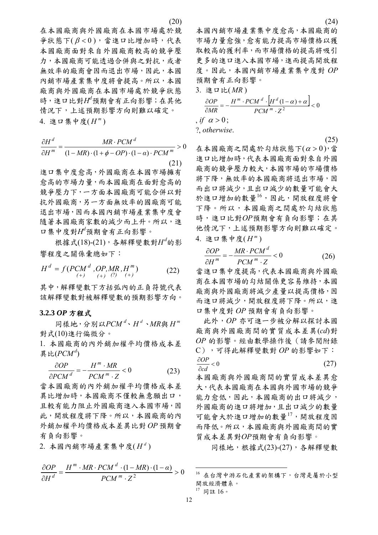在本國廠商與外國廠商在本國市場處於競  $\frac{1}{2}$  狀態下 $(B < 0)$ , 當進口比增加時, 代表 本國廠商面對來自外國廠商較高的競爭壓 力,本國廠商可能透過合併與之對抗,或者 無效率的廠商會因而退出市場,因此,本國 內銷市場產業集中度將會提高。所以,本國 廠商與外國廠商在本國市場處於競爭狀態 時,進口比對 $H^d$ 預期會有正向影響;在其他 情況下,上述預期影響方向則難以確定。 4. 進口集中度( $H<sup>m</sup>$ )

$$
\frac{\partial H^d}{\partial H^m} = \frac{MR \cdot PCM^d}{(1 - MR) \cdot (1 + \phi - OP) \cdot (1 - \alpha) \cdot PCM^m} > 0
$$
\n(21)

進口集中度愈高,外國廠商在本國市場擁有 愈高的市場力量,而本國廠商在面對愈高的 競爭壓力下,一方面本國廠商可能合併以對 抗外國廠商,另一方面無效率的國廠商可能 退出市場,因而本國內銷市場產業集中度會 隨著本國廠商家數的減少而上升。所以,進 口集中度對*Hd* 預期會有正向影響。

 根據式(18)-(21),各解釋變數對*H<sup>d</sup>* 的影 響程度之關係彙總如下:

$$
H^{d} = f(PCM^{d}, OP, MR, H^{m})
$$
\n(22)

其中,解釋變數下方括弧內的正負符號代表 該解釋變數對被解釋變數的預期影響方向。

#### **3.2.3** *OP* 方程式

 同樣地,分別以*PCM d* 、 *<sup>d</sup> H* 、*MR*與 *<sup>m</sup> H* 對式(10)進行偏微分。

1. 本國廠商的內外銷加權平均價格成本差 異比 $(PCM^{d})$ 

$$
\frac{\partial OP}{\partial PCM^d} = -\frac{H^m \cdot MR}{PCM^m \cdot Z} < 0 \tag{23}
$$

當本國廠商的內外銷加權平均價格成本差 異比增加時,本國廠商不僅較無意願出口, 且較有能力阻止外國廠商進入本國市場,因 此,開放程度將下降。所以,本國廠商的內 外銷加權平均價格成本差異比對 *OP* 預期會 有負向影響。

 $2.$  本國內銷市場產業集中度 $(H<sup>d</sup>)$ 

<span id="page-11-1"></span><span id="page-11-0"></span>
$$
\frac{\partial OP}{\partial H^d} = \frac{H^m \cdot MR \cdot PCM^d \cdot (1 - MR) \cdot (1 - \alpha)}{PCM^m \cdot Z^2} > 0
$$

(24)

本國內銷市場產業集中度愈高,本國廠商的 市場力量愈強,愈有能力提高市場價格以獲 取較高的獲利率,而市場價格的提高將吸引 更多的進口進入本國市場,進而提高開放程 度。因此,本國內銷市場產業集中度對 *OP* 預期會有正向影響。

3. 進口比( *MR* )

 $\frac{\partial OP}{\partial MR} = -\frac{H^m \cdot PCM^d \cdot [H^d(1-\alpha)+\alpha]}{PCM^m \cdot Z^2} < 0$ ∂*OP*  $H^m \cdot PCM$   $^d \cdot |H$  $\overline{\lambda MR}$ *m*  $m$  ·  $PCM$ <sup>d</sup> ·  $H^d(1-\alpha) + \alpha$ , *if*  $\alpha > 0$ ; ?, *otherwise*.  $(25)$ 

在本國廠商之間處於勾結狀態下 $(\alpha > 0)$ ,當 進口比增加時,代表本國廠商面對來自外國 廠商的競爭壓力較大,本國市場的市場價格 將下降,無效率的本國廠商將退出市場,因 而出口將減少,且出口減少的數量可能會大 於進口增加的數量[16](#page-11-0),因此,開放程度將會 下降。所以,本國廠商之間處於勾結狀態 時,進口比對*OP*預期會有負向影響;在其 他情況下,上述預期影響方向則難以確定。 4. 進口集中度( $H^m$ )

$$
\frac{\partial OP}{\partial H^m} = -\frac{MR \cdot PCM^d}{PCM^m \cdot Z} < 0 \tag{26}
$$

當進口集中度提高,代表本國廠商與外國廠 商在本國市場的勾結關係更容易維持,本國 廠商與外國廠商將減少產量以提高價格,因 而進口將減少,開放程度將下降。所以,進 口集中度對 *OP* 預期會有負向影響。

此外,*OP* 亦可進一步被分解以探討本國 廠商與外國廠商間的實質成本差異(*cd*)對 *OP* 的影響。經由數學操作後(請參閱附錄 C),可得此解釋變數對 *OP* 的影響如下:  $\frac{\partial OP}{\partial \theta} < 0$  (27)

∂ *cd* 本國廠商與外國廠商間的實質成本差異愈 大,代表本國廠商在本國與外國市場的競爭 能力愈低,因此,本國廠商的出口將減少, 外國廠商的進口將增加,且出口減少的數量 可能會大於進口增加的數量[17](#page-11-1),開放程度因 而降低。所以,本國廠商與外國廠商間的實 質成本差異對*OP*預期會有負向影響。

同樣地,根據式(23)-(27),各解釋變數

<sup>17</sup> 同註 16。

<sup>16</sup> 在台灣中游石化產業的架構下,台灣是屬於小型 開放經濟體系。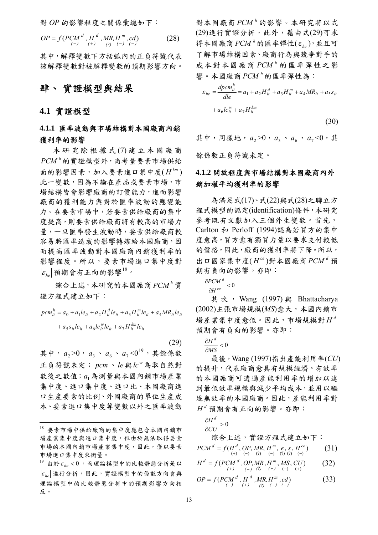對 *OP* 的影響程度之關係彙總如下:

$$
OP = f(PCM^{d}, H^{d}, MR, H^{m}, cd)
$$
  
(-) (+) , (+) (28)

其中,解釋變數下方括弧內的正負符號代表 該解釋變數對被解釋變數的預期影響方向。

## 肆、 實證模型與結果

#### **4.1** 實證模型

### **4.1.1** 匯率波動與市場結構對本國廠商內銷 獲利率的影響

 本研究除根據式 (7) 建立本國廠商  $PCM$ <sup> $h$ </sup>的實證模型外,尚考量要素市場供給 面的影響因素,加入要素進口集中度( $H^{km}$ ) 此一變數,因為不論在產品或要素市場,市 場結構皆會影響廠商的訂價能力,進而影響 廠商的獲利能力與對於匯率波動的應變能 力。在要素市場中,若要素供給廠商的集中 度提高,則要素供給廠商將有較高的市場力 量,一旦匯率發生波動時,要素供給廠商較 容易將匯率造成的影響轉嫁給本國廠商,因 而提高匯率波動對本國廠商內銷獲利率的 影響程度。所以,要素市場進口集中度對  $|\varepsilon_{\scriptscriptstyle{k}_{\scriptscriptstyle{0}}}|\,$ 預期會有正向的影響 $^{18}$  $^{18}$  $^{18}$ 。

综合上述,本研究的本國廠商 PCM<sup>h</sup>實 證方程式建立如下:

$$
pcm_{it}^{h} = a_0 + a_1le_{it} + a_2H_{it}^{d}le_{it} + a_3H_{it}^{m}le_{it} + a_4MR_{it}le_{it}
$$

$$
+ a_5s_{it}le_{it} + a_6lc_{it}^{w}le_{it} + a_7H_{it}^{km}le_{it}
$$

(29)

其中,  $a_2$  > 0,  $a_3 \cdot a_6 \cdot a_7$  < 0<sup>[19](#page-12-1)</sup>, 其餘係數 正負符號未定; *pcm*、*le*與 為取自然對 *<sup>w</sup> lc* 數後之數值; a<sub>1</sub>為測量與本國內銷市場產業 集中度、進口集中度、進口比、本國廠商進 口生產要素的比例、外國廠商的單位生產成 本、要素進口集中度等變數以外之匯率波動

對本國廠商 $PCM$ <sup> $h$ </sup>的影響。本研究將以式 (29)進行實證分析,此外,藉由式(29)可求 得本國廠商 PCM<sup>h</sup>的匯率彈性(ε<sub>he</sub>), 並且可 了解市場結構因素、廠商行為與競爭對手的 成本對本國廠商 PCM<sup>h</sup> 的匯率彈性之影 響。本國廠商 $PCM$ <sup> $h$ </sup>的匯率彈性為:

$$
\varepsilon_{he} = \frac{dpcm_{it}^h}{dle} = a_1 + a_2 H_{it}^d + a_3 H_{it}^m + a_4 M R_{it} + a_5 s_{it}
$$

$$
+ a_6 l c_{it}^w + a_7 H_{it}^{km}
$$
(30)

其中,同樣地,  $a_2$ >0,  $a_3 \cdot a_6 \cdot a_7$ <0, 其

餘係數正負符號未定。

### **4.1.2** 開放程度與市場結構對本國廠商內外 銷加權平均獲利率的影響

 為滿足式(17)、式(22)與式(28)之聯立方 程式模型的認定(identification)條件,本研究 參考既有文獻加入三個外生變數。首先, Carlton 和 Perloff (1994)認為若買方的集中 度愈高,買方愈有獨買力量以要求支付較低 的價格,因此,廠商的獲利率將下降。所以, 出口國家集中度 $(H^{ce})$ 對本國廠商  $PCM<sup>d</sup>$ 預 期有負向的影響。亦即:

 $\frac{\partial PCM}{\partial x}$  < 0 ∂ ∂ *ce d H*  $\frac{PCM^d}{I} < 0$ 

其次, Wang (1997) 與 Bhattacharya (2002)主張市場規模(*MS*)愈大,本國內銷市 場產業集中度愈低。因此,市場規模對 *<sup>d</sup> H* 預期會有負向的影響。亦即:

∂ *H <sup>d</sup>*

 $\frac{\partial H}{\partial MS}$  < 0 *MS*

 最後,Wang (1997)指出產能利用率(*CU*) 的提升,代表廠商愈具有規模經濟。有效率 的本國廠商可透過產能利用率的增加以達 到最低效率規模與減少平均成本,並用以驅 逐無效率的本國廠商。因此,產能利用率對  $H^d$  預期會有正向的影響。亦即:

$$
\frac{\partial H^d}{\partial CU} > 0
$$

综合上述,實證方程式建立如下:  $PCM^{d} = f(H^{d}, OP, MR, H^{m}, e, s, H^{ce})$  (31)

$$
H^{d} = f(PCM^{d}, OP, MR, H^{m}, MS, CU) \qquad (32)
$$

$$
OP = f(PCMd, Hd, MR, Hm, cd)
$$
  
(33)

<span id="page-12-0"></span><sup>18</sup> 要素市場中供給廠商的集中度應包含本國內銷市 場產業集中度與進口集中度,但由於無法取得要素 市場的本國內銷市場產業集中度,因此,僅以要素 市場進口集中度來衡量。

<span id="page-12-1"></span> $^{19}$  由於 $\varepsilon_{h}$  <  $0$ , 而理論模型中的比較靜態分析是以  $|\varepsilon_{he}|$ 進行分析,因此,實證模型中的係數方向會與 理論模型中的比較靜態分析中的預期影響方向相 反。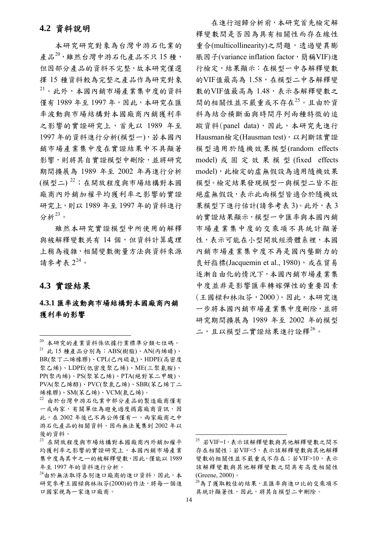#### **4.2** 資料說明

 本研究研究對象為台灣中游石化業的 產品 $^{20}$  $^{20}$  $^{20}$ ,雖然台灣中游石化產品不只15種, 但因部分產品的資料不完整,故本研究僅選 擇 15 種資料較為完整之產品作為研究對象 [21](#page-13-1)。此外,本國內銷市場產業集中度的資料 僅有 1989 年至 1997 年,因此,本研究在匯 率波動與市場結構對本國廠商內銷獲利率 之影響的實證研究上,首先以 1989 年至 1997 年的資料進行分析(模型一),若本國內 銷市場產業集中度在實證結果中不具顯著 影響,則將其自實證模型中刪除,並將研究 期間擴展為 1989 年至 2002 年再進行分析 (模型二) [22](#page-13-2);在開放程度與市場結構對本國 廠商內外銷加權平均獲利率之影響的實證 研究上,則以 1989 年至 1997 年的資料進行 分析 $23$ 。

 雖然本研究實證模型中所使用的解釋 與被解釋變數共有 14 個,但資料計算處理 上稍為複雜,相關變數衡量方法與資料來源 請參考表  $2^{24}$  $2^{24}$  $2^{24}$ 。

### **4.3** 實證結果

 $\overline{a}$ 

### **4.3.1** 匯率波動與市場結構對本國廠商內銷 獲利率的影響

 在進行迴歸分析前,本研究首先檢定解 釋變數間是否因為具有相關性而存在線性 重合(multicollinearity)之問題,透過變異膨 脹因子(variance inflation factor,簡稱VIF)進 行檢定,結果顯示:在模型一中各解釋變數 的VIF值最高為 1.58,在模型二中各解釋變 數的VIF值最高為 1.48,表示各解釋變數之 間的相關性並不嚴重或不存在[25](#page-13-3)。且由於資 料為結合橫斷面與時間序列兩種特徵的追 蹤資料(panel data),因此,本研究先進行 Hausman檢定(Hausman test), 以判斷該實證 模型適用於隨機效果模型(random effects model) 或固定效果模型 (fixed effects model),此檢定的虛無假設為適用隨機效果 模型。檢定結果發現模型一與模型二皆不拒 絕虛無假設,表示此兩模型皆適合於隨機效 果模型下進行估計(請參考表 3)。此外,表 3 的實證結果顯示,模型一中匯率與本國內銷 市場產業集中度的交乘項不具統計顯著 性,表示可能在小型開放經濟體系裡,本國 內銷市場產業集中度不再是國內壟斷力的 良好指標(Jacquemin et al., 1980), 或在貿易 逐漸自由化的情況下,本國內銷市場產業集 中度並非是影響匯率轉嫁彈性的重要因素 (王國樑和林淑芬,2000)。因此,本研究進 一步將本國內銷市場產業集中度刪除,並將 研究期間擴展為 1989 年至 2002 年的模型 二,且以模型二實證結果進行詮釋<sup>[26](#page-13-5)</sup>。

<span id="page-13-1"></span><span id="page-13-0"></span><sup>20</sup> 本研究的產業資料係依據行業標準分類七位碼。  $21$  此 15 種產品分別為: ABS(樹脂)、AN(丙烯晴)、 BR(聚丁二烯橡膠)、CPL(己內硫氨)、HDPE(高密度 聚乙烯)、LDPE(低密度聚乙烯)、ME(三聚氰胺)、 PP(聚丙烯)、PS(聚苯乙烯)、PTA(絕對苯二甲酸)、 PVA(聚乙烯醇)、PVC(聚氯乙烯)、SBR(苯乙烯丁二 烯橡膠)、SM(苯乙烯)、VCM(氯乙烯)。

<span id="page-13-2"></span><sup>22</sup> 由於台灣中游石化業中部分產品的製造廠商僅有 一或兩家,有關單位為避免過度揭露廠商資訊,因 此,在 2002 年後已不再公佈僅有一,兩家廠商之中 游石化產品的相關資料,因而無法蒐集到 2002 年以 後的資料。

<span id="page-13-3"></span><sup>23</sup> 在開放程度與市場結構對本國廠商內外銷加權平 均獲利率之影響的實證研究上,本國內銷市場產業 集中度為其中之ㄧ的被解釋變數,因此,僅能以 1989 年至 1997 年的資料進行分析。

<span id="page-13-5"></span><span id="page-13-4"></span><sup>24</sup>由於無法取得各別進口廠商的進口資料,因此,本 研究參考王國樑與林淑芬(2000)的作法,將每一個進 口國家視為一家進口廠商。

<sup>25</sup> 若VIF=1,表示該解釋變數與其他解釋變數之間不 存在相關性;若VIF<5,表示該解釋變數與其他解釋 變數的相關性並不嚴重或不存在;若VIF>10,表示 該解釋變數與其他解釋變數之間具有高度相關性 (Greene, 2000)。

<sup>26</sup>為了獲取較佳的結果,且匯率與進口比的交乘項不 具統計顯著性,因此,將其自模型二中刪除。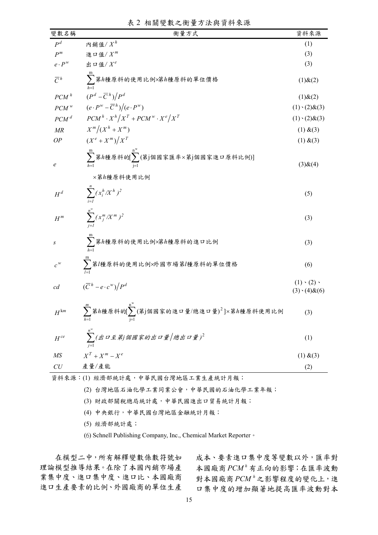|  | 表2相關變數之衡量方法與資料來源 |  |
|--|------------------|--|
|  |                  |  |

| 變數名稱               | 衡量方式                                                                                                                                     | 資料來源                                            |
|--------------------|------------------------------------------------------------------------------------------------------------------------------------------|-------------------------------------------------|
| $P^d$              | 內銷值/ $X^h$                                                                                                                               | (1)                                             |
| $P^m$              | 進口值/ $X^m$                                                                                                                               | (3)                                             |
| $e\cdot P^w$       | 出口值/ $X^e$                                                                                                                               | (3)                                             |
| $\overline{C}^h$   | $\sum$ 第h種原料的使用比例x第h種原料的單位價格                                                                                                             | $(1)$ & $(2)$                                   |
| $PCM$ <sup>h</sup> | $(P^d - \overline{C}^h)/P^d$                                                                                                             | $(1)$ & $(2)$                                   |
| $\mathit{PCM}^w$   | $(e \cdot P^w - \overline{C}^h)/(e \cdot P^w)$                                                                                           | $(1) \cdot (2) \& (3)$                          |
| $PCM$ <sup>d</sup> | $PCM^{h} \cdot X^{h}/X^{T} + PCM^{w} \cdot X^{e}/X^{T}$                                                                                  | $(1) \cdot (2) \& (3)$                          |
| MR                 | $X^m/(X^h+X^m)$                                                                                                                          | (1) & (3)                                       |
| OP                 | $(X^e + X^m)/X^T$                                                                                                                        | (1) & (3)                                       |
| $\boldsymbol{e}$   | $\sum_{i=1}^{m}$ 第h種原料的 $[\sum_{i=1}^{n^{\infty}}(\tilde{A}_{i})$ 個國家匯率×第j個國家進口原料比例)]<br>×第h種原料使用比例                                      | $(3)$ & $(4)$                                   |
| $H^d$              | $\sum_{i}^n (x_i^h / X^h)^2$                                                                                                             | (5)                                             |
| $H^m$              | $\sum_{i=1}^{n} (x_j^m / X^m)^2$                                                                                                         | (3)                                             |
| $\boldsymbol{S}$   | $\sum$ 第h種原料的使用比例×第h種原料的進口比例                                                                                                             | (3)                                             |
| $c^w$              | $\sum_{l=1}^{m}$ 第/種原料的使用比例×外國市場第/種原料的單位價格                                                                                               | (6)                                             |
| c d                | $(\overline{C}^h - e \cdot c^w)/P^d$                                                                                                     | $(1) \cdot (2) \cdot$<br>$(3) \cdot (4) \& (6)$ |
| $H^{km}$           | $\sum_{h=1}^{m}$ 第h種原料的 $\sum_{j=1}^{n^w} (\ddot{\mathfrak{F}}_j)$ 個國家的進口量/總進口量) <sup>2</sup> ]×第h種原料使用比例                                | (3)                                             |
| $H^{ce}$           | $\sum_{i=1}^{n^{\ast\ast}}(\textit{H}\,\mathsf{D}\,\mathcal{\hat{I}}\,\textit{\AA})/\textit{H}\,\mathsf{M}\,\mathsf{B}\,\textit{\AA})^2$ | (1)                                             |
| M <sub>S</sub>     | $X^T + X^m - X^e$                                                                                                                        | (1) & (3)                                       |
| ${\cal C}{\cal U}$ | 產量/產能                                                                                                                                    | (2)                                             |

資料來源:(1) 經濟部統計處,中華民國台灣地區工業生產統計月報;

(2) 台灣地區石油化學工業同業公會,中華民國的石油化學工業年報;

(3) 財政部關稅總局統計處,中華民國進出口貿易統計月報;

- (4) 中央銀行,中華民國台灣地區金融統計月報;
- (5) 經濟部統計處;

(6) Schnell Publishing Company, Inc., Chemical Market Reporter。

在模型二中,所有解釋變數係數符號如 理論模型推導結果。在除了本國內銷市場產 業集中度、進口集中度、進口比、本國廠商 進口生產要素的比例、外國廠商的單位生產

成本、要素進口集中度等變數以外,匯率對 本國廠商 有正向的影響;在匯率波動 *<sup>h</sup> PCM* 對本國廠商PCM<sup>,2</sup>之影響程度的變化上,進 口集中度的增加顯著地提高匯率波動對本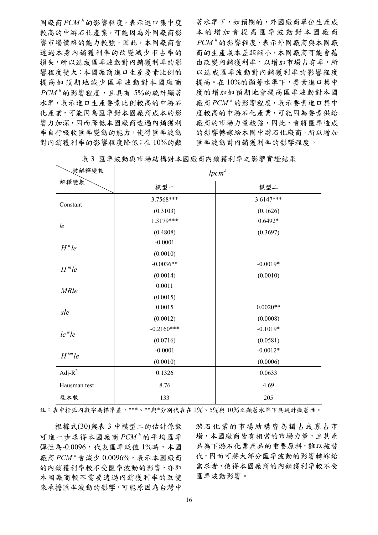國廠商 的影響程度,表示進口集中度 *<sup>h</sup> PCM* 較高的中游石化產業,可能因為外國廠商影 響市場價格的能力較強,因此,本國廠商會 透過本身內銷獲利率的改變減少市占率的 損失,所以造成匯率波動對內銷獲利率的影 響程度變大;本國廠商進口生產要素比例的 提高如預期地減少匯率波動對本國廠商 的影響程度,且具有 5%的統計顯著 *<sup>h</sup> PCM* 水準,表示進口生產要素比例較高的中游石 化產業,可能因為匯率對本國廠商成本的影 響力加深,因而降低本國廠商透過內銷獲利 率自行吸收匯率變動的能力,使得匯率波動 對內銷獲利率的影響程度降低;在 10%的顯

著水準下,如預期的,外國廠商單位生產成 本的增加會提高匯率波動對本國廠商 的影響程度,表示外國廠商與本國廠 *<sup>h</sup> PCM* 商的生產成本差距縮小,本國廠商可能會藉 由改變內銷獲利率,以增加市場占有率,所 以造成匯率波動對內銷獲利率的影響程度 提高。在 10%的顯著水準下,要素進口集中 度的增加如預期地會提高匯率波動對本國 廠商 的影響程度,表示要素進口集中 *<sup>h</sup> PCM* 度較高的中游石化產業,可能因為要素供給 廠商的市場力量較強,因此,會將匯率造成 的影響轉嫁給本國中游石化廠商,所以增加 匯率波動對內銷獲利率的影響程度。

| 被解釋變數              |              | $lpcm^h$    |
|--------------------|--------------|-------------|
| 解釋變數               | 模型一          | 模型二         |
| Constant           | 3.7568***    | $3.6147***$ |
|                    | (0.3103)     | (0.1626)    |
| $l$ e              | 1.3179***    | $0.6492*$   |
|                    | (0.4808)     | (0.3697)    |
| $H^d$ le           | $-0.0001$    |             |
|                    | (0.0010)     |             |
| $Hm$ le            | $-0.0036**$  | $-0.0019*$  |
|                    | (0.0014)     | (0.0010)    |
| <b>MRle</b>        | 0.0011       |             |
|                    | (0.0015)     |             |
| sle                | 0.0015       | $0.0020**$  |
|                    | (0.0012)     | (0.0008)    |
| lc <sup>w</sup> le | $-0.2160***$ | $-0.1019*$  |
|                    | (0.0716)     | (0.0581)    |
| $H^{km}$ le        | $-0.0001$    | $-0.0012*$  |
|                    | (0.0010)     | (0.0006)    |
| Adj- $R^2$         | 0.1326       | 0.0633      |
| Hausman test       | 8.76         | 4.69        |
| 樣本數                | 133          | 205         |

表 3 匯率波動與市場結構對本國廠商內銷獲利率之影響實證結果

註:表中括弧內數字為標準差,\*\*\*、\*\*與\*分別代表在 1%、5%與 10%之顯著水準下具統計顯著性。

根據式(30)與表 3 中模型二的估計係數 可進一步求得本國廠商PCM<sup>,</sup>的平均匯率 彈性為-0.0096,代表匯率貶值 1%時,本國 廠商  $PCM^h$ 會減少 0.0096%, 表示本國廠商 的內銷獲利率較不受匯率波動的影響,亦即 本國廠商較不需要透過內銷獲利率的改變 來承擔匯率波動的影響,可能原因為台灣中

游石化業的市場結構皆為獨占或寡占市 場,本國廠商皆有相當的市場力量,且其產 品為下游石化業產品的重要原料,難以被替 代,因而可將大部分匯率波動的影響轉嫁給 需求者,使得本國廠商的內銷獲利率較不受 匯率波動影響。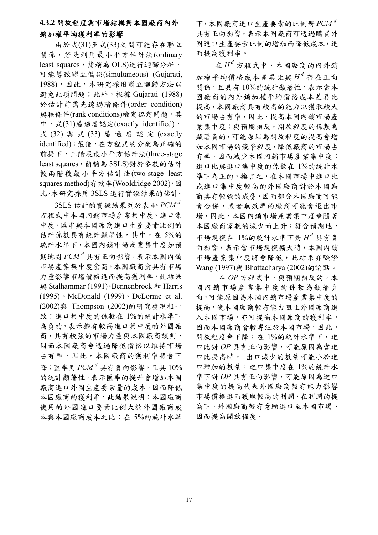### **4.3.2** 開放程度與市場結構對本國廠商內外 銷加權平均獲利率的影響

由於式(31)至式(33)之間可能存在聯立 關係,若是利用最小平方估計法(ordinary least squares,簡稱為 OLS)進行迴歸分析, 可能導致聯立偏誤(simultaneous) (Gujarati, 1988),因此,本研究採用聯立迴歸方法以 避免此項問題;此外,根據 Gujarati (1988) 於估計前需先透過階條件(order condition) 與秩條件(rank conditions)檢定認定問題,其 中,式(31)屬適度認定(exactly identified), 式 (32) 與 式 (33) 屬 過 度 認 定 (exactly identified);最後,在方程式的分配為正確的 前提下,三階段最小平方估計法(three-stage least squares,簡稱為 3SLS)對於參數的估計 較兩階段最小平方估計法(two-stage least squares method)有效率(Wooldridge 2002),因 此,本研究採用 3SLS 進行實證結果的估計。

 3SLS 估計的實證結果列於表 4。 *<sup>d</sup> PCM* 方程式中本國內銷市場產業集中度、進口集 中度、匯率與本國廠商進口生產要素比例的 估計係數具有統計顯著性,其中,在 5%的 統計水準下,本國內銷市場產業集中度如預 期地對  $PCM^d$ 具有正向影響,表示本國內銷 市場產業集中度愈高,本國廠商愈具有市場 力量影響市場價格進而提高獲利率,此結果 與 Stalhammar (1991)、Bennenbroek 和 Harris (1995)、McDonald (1999)、DeLorme et al. (2002)與 Thompson (2002)的研究發現相一 致;進口集中度的係數在 1%的統計水準下 為負的,表示擁有較高進口集中度的外國廠 商,具有較強的市場力量與本國廠商談判, 因而本國廠商會透過降低價格以維持市場 占有率,因此,本國廠商的獲利率將會下  $\mathbb{R}$ ; 匯率對  $PCM^d$ 具有負向影響, 且具  $10\%$ 的統計顯著性,表示匯率的提升會增加本國 廠商進口外國生產要素量的成本,因而降低 本國廠商的獲利率,此結果說明:本國廠商 使用的外國進口要素比例大於外國廠商成 本與本國廠商成本之比;在 5%的統計水準

下,本國廠商進口生產要素的比例對 *<sup>d</sup> PCM* 具有正向影響,表示本國廠商可透過購買外 國進口生產要素比例的增加而降低成本,進 而提高獲利率。

 $A \oplus H^d$ 方程式中,本國廠商的內外銷 加權平均價格成本差異比與 *<sup>d</sup> H* 存在正向 關係,且具有 10%的統計顯著性,表示當本 國廠商的內外銷加權平均價格成本差異比 提高,本國廠商具有較高的能力以獲取較大 的市場占有率,因此,提高本國內銷市場產 業集中度;與預期相反,開放程度的係數為 顯著負的,可能原因為開放程度的提高會增 加本國市場的競爭程度,降低廠商的市場占 有率,因而減少本國內銷市場產業集中度; 進口比與進口集中度的係數在 1%的統計水 準下為正的,換言之,在本國市場中進口比 或進口集中度較高的外國廠商對於本國廠 商具有較強的威脅,因而部分本國廠商可能 會合併,或者無效率的廠商可能會退出市 場,因此,本國內銷市場產業集中度會隨著 本國廠商家數的減少而上升;符合預期地, 市場規模在 1%的統計水準下對 *<sup>d</sup> H* 具有負 向影響,表示當市場規模擴大時,本國內銷 市場產業集中度將會降低,此結果亦驗證 Wang (1997)與 Bhattacharya (2002)的論點。

 在 *OP* 方程式中,與預期相反的,本 國內銷市場產業集中度的係數為顯著負 向,可能原因為本國內銷市場產業集中度的 提高,使本國廠商較有能力阻止外國廠商進 入本國市場,亦可提高本國廠商的獲利率, 因而本國廠商會較專注於本國市場,因此, 開放程度會下降;在 1%的統計水準下,進 口比對 *OP* 具有正向影響,可能原因為當進 口比提高時, 出口減少的數量可能小於進 口增加的數量;進口集中度在 1%的統計水 準下對 *OP* 具有正向影響,可能原因為進口 集中度的提高代表外國廠商較有能力影響 市場價格進而獲取較高的利潤,在利潤的提 高下,外國廠商較有意願進口至本國市場, 因而提高開放程度。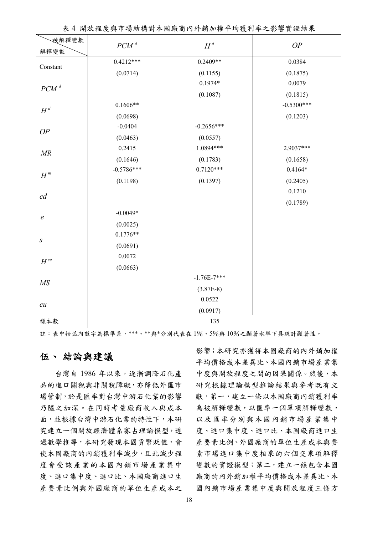|  |  |  |  |  | 表4 開放程度與市場結構對本國廠商內外銷加權平均獲利率之影響實證結果 |
|--|--|--|--|--|------------------------------------|
|--|--|--|--|--|------------------------------------|

| 被解釋變數              | $PCM$ <sup>d</sup> | $H^d$         | OP           |
|--------------------|--------------------|---------------|--------------|
| 解釋變數               | $0.4212***$        | $0.2409**$    | 0.0384       |
| Constant           | (0.0714)           | (0.1155)      | (0.1875)     |
| $PCM$ <sup>d</sup> |                    | $0.1974*$     | 0.0079       |
|                    |                    | (0.1087)      | (0.1815)     |
| $H^d$              | $0.1606**$         |               | $-0.5300***$ |
|                    | (0.0698)           |               | (0.1203)     |
| OP                 | $-0.0404$          | $-0.2656***$  |              |
|                    | (0.0463)           | (0.0557)      |              |
| MR                 | 0.2415             | 1.0894***     | 2.9037***    |
|                    | (0.1646)           | (0.1783)      | (0.1658)     |
|                    | $-0.5786***$       | $0.7120***$   | $0.4164*$    |
| $H^{\hskip1pt m}$  | (0.1198)           | (0.1397)      | (0.2405)     |
| cd                 |                    |               | 0.1210       |
|                    |                    |               | (0.1789)     |
| $\boldsymbol{e}$   | $-0.0049*$         |               |              |
|                    | (0.0025)           |               |              |
| $\boldsymbol{S}$   | $0.1776**$         |               |              |
|                    | (0.0691)           |               |              |
| $H^{\it ce}$       | 0.0072             |               |              |
|                    | (0.0663)           |               |              |
| MS                 |                    | $-1.76E-7***$ |              |
|                    |                    | $(3.87E-8)$   |              |
| $\cal{C}U$         |                    | 0.0522        |              |
|                    |                    | (0.0917)      |              |
| 樣本數                | 135                |               |              |

註:表中括弧內數字為標準差,\*\*\*、\*\*與\*分別代表在 1%、5%與 10%之顯著水準下具統計顯著性。

### 伍、 結論與建議

 台灣自 1986 年以來,逐漸調降石化產 品的進口關稅與非關稅障礙,亦降低外匯市 場管制,於是匯率對台灣中游石化業的影響 乃隨之加深。在同時考量廠商收入與成本 面,並根據台灣中游石化業的特性下,本研 究建立一個開放經濟體系寡占理論模型,透 過數學推導,本研究發現本國貨幣貶值,會 使本國廠商的內銷獲利率減少,且此減少程 度會受該產業的本國內銷市場產業集中 度、進口集中度、進口比、本國廠商進口生 產要素比例與外國廠商的單位生產成本之 影響;本研究亦獲得本國廠商的內外銷加權 平均價格成本差異比、本國內銷市場產業集 中度與開放程度之間的因果關係。然後,本 研究根據理論模型推論結果與參考既有文 獻,第一,建立一條以本國廠商內銷獲利率 為被解釋變數,以匯率一個單項解釋變數, 以及匯率分別與本國內銷市場產業集中 度、進口比、本國廠商進口生 產要素比例、外國廠商的單位生產成本與要 素市場進口集中度相乘的六個交乘項解釋 變數的實證模型;第二,建立一條包含本國 廠商的內外銷加權平均價格成本差異比、本 國內銷市場產業集中度與開放程度三條方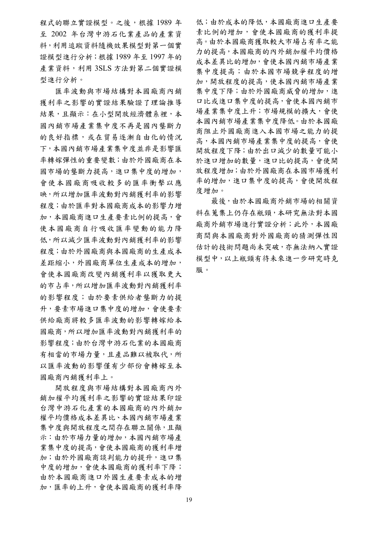程式的聯立實證模型。之後,根據 1989年 至 2002 年台灣中游石化業產品的產業資 料,利用追蹤資料隨機效果模型對第一個實 證模型進行分析;根據 1989 年至 1997 年的 產業資料,利用 3SLS 方法對第二個實證模 型進行分析。

匯率波動與市場結構對本國廠商內銷 獲利率之影響的實證結果驗證了理論推導 結果,且顯示:在小型開放經濟體系裡,本 國內銷市場產業集中度不再是國內壟斷力 的良好指標,或在貿易逐漸自由化的情況 下,本國內銷市場產業集中度並非是影響匯 率轉嫁彈性的重要變數;由於外國廠商在本 國市場的壟斷力提高,進口集中度的增加, 會使本國廠商吸收較多的匯率衝擊以應 映,所以增加匯率波動對內銷獲利率的影響 程度;由於匯率對本國廠商成本的影響力增 加,本國廠商進口生產要素比例的提高,會 使本國廠商自行吸收匯率變動的能力降 低,所以減少匯率波動對內銷獲利率的影響 程度;由於外國廠商與本國廠商的生產成本 差距縮小,外國廠商單位生產成本的增加, 會使本國廠商改變內銷獲利率以獲取更大 的市占率,所以增加匯率波動對內銷獲利率 的影響程度;由於要素供給者壟斷力的提 升,要素市場進口集中度的增加,會使要素 供給廠商將較多匯率波動的影響轉嫁給本 國廠商,所以增加匯率波動對內銷獲利率的 影響程度;由於台灣中游石化業的本國廠商 有相當的市場力量,且產品難以被取代,所 以匯率波動的影響僅有少部份會轉嫁至本 國廠商內銷獲利率上。

開放程度與市場結構對本國廠商內外 銷加權平均獲利率之影響的實證結果印證 台灣中游石化產業的本國廠商的內外銷加 權平均價格成本差異比、本國內銷市場產業 集中度與開放程度之間存在聯立關係,且顯 示:由於市場力量的增加,本國內銷市場產 業集中度的提高,會使本國廠商的獲利率增 加;由於外國廠商談判能力的提升,進口集 中度的增加,會使本國廠商的獲利率下降; 由於本國廠商進口外國生產要素成本的增 加,匯率的上升,會使本國廠商的獲利率降 低;由於成本的降低,本國廠商進口生產要 素比例的增加,會使本國廠商的獲利率提 高。由於本國廠商獲取較大市場占有率之能 力的提高,本國廠商的內外銷加權平均價格 成本差異比的增加,會使本國內銷市場產業 集中度提高;由於本國市場競爭程度的增 加,開放程度的提高,使本國內銷市場產業 集中度下降;由於外國廠商威脅的增加,進 口比或進口集中度的提高,會使本國內銷市 場產業集中度上升;市場規模的擴大,會使 本國內銷市場產業集中度降低。由於本國廠 商阻止外國廠商進入本國市場之能力的提 高,本國內銷市場產業集中度的提高,會使 開放程度下降;由於出口減少的數量可能小 於進口增加的數量,進口比的提高,會使開 放程度增加;由於外國廠商在本國市場獲利 率的增加,進口集中度的提高,會使開放程 度增加。

最後,由於本國廠商外銷市場的相關資 料在蒐集上仍存在瓶頸,本研究無法對本國 廠商外銷市場進行實證分析;此外,本國廠 商間與本國廠商對外國廠商的猜測彈性因 估計的技術問題尚未突破,亦無法納入實證 模型中,以上瓶頸有待未來進一步研究時克 服。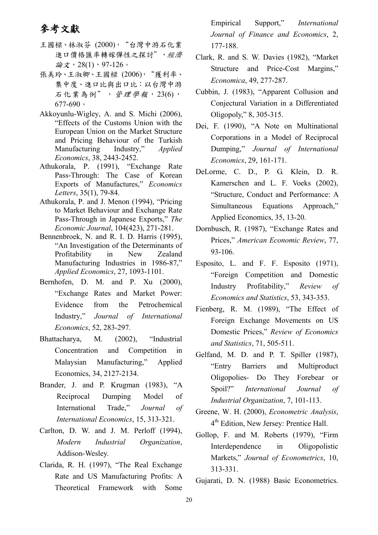# 參考文獻

- 王國樑、林淑芬 (2000), "台灣中游石化業 進口價格匯率轉嫁彈性之探討",經濟 論文, 28(1), 97-126。
- 張美玲、王淑卿、王國樑 (2006),"獲利率、 集中度、進口比與出口比:以台灣中游 石化業為例", 管理學報, 23(6), 677-690。
- Akkoyunlu-Wigley, A. and S. Michi (2006), "Effects of the Customs Union with the European Union on the Market Structure and Pricing Behaviour of the Turkish Manufacturing Industry," *Applied Economics*, 38, 2443-2452.
- Athukorala, P. (1991), "Exchange Rate Pass-Through: The Case of Korean Exports of Manufactures," *Economics Letters*, 35(1), 79-84.
- Athukorala, P. and J. Menon (1994), "Pricing to Market Behaviour and Exchange Rate Pass-Through in Japanese Exports," *The Economic Journal*, 104(423), 271-281.
- Bennenbroek, N. and R. I. D. Harris (1995), "An Investigation of the Determinants of Profitability in New Zealand Manufacturing Industries in 1986-87," *Applied Economics*, 27, 1093-1101.
- Bernhofen, D. M. and P. Xu (2000), "Exchange Rates and Market Power: Evidence from the Petrochemical Industry," *Journal of International Economics*, 52, 283-297.
- Bhattacharya, M. (2002), "Industrial Concentration and Competition in Malaysian Manufacturing," Applied Economics, 34, 2127-2134.
- Brander, J. and P. Krugman (1983), "A Reciprocal Dumping Model of International Trade," *Journal of International Economics*, 15, 313-321.
- Carlton, D. W. and J. M. Perloff (1994), *Modern Industrial Organization*, Addison-Wesley.
- Clarida, R. H. (1997), "The Real Exchange Rate and US Manufacturing Profits: A Theoretical Framework with Some

Empirical Support," *International Journal of Finance and Economics*, 2, 177-188.

- Clark, R. and S. W. Davies (1982), "Market Structure and Price-Cost Margins," *Economica*, 49, 277-287.
- Cubbin, J. (1983), "Apparent Collusion and Conjectural Variation in a Differentiated Oligopoly," 8, 305-315.
- Dei, F. (1990), "A Note on Multinational Corporations in a Model of Reciprocal Dumping," *Journal of International Economics*, 29, 161-171.
- DeLorme, C. D., P. G. Klein, D. R. Kamerschen and L. F. Voeks (2002), "Structure, Conduct and Performance: A Simultaneous Equations Approach," Applied Economics, 35, 13-20.
- Dornbusch, R. (1987), "Exchange Rates and Prices," *American Economic Review*, 77, 93-106.
- Esposito, L. and F. F. Esposito (1971), "Foreign Competition and Domestic Industry Profitability," *Review of Economics and Statistics*, 53, 343-353.
- Fienberg, R. M. (1989), "The Effect of Foreign Exchange Movements on US Domestic Prices," *Review of Economics and Statistics*, 71, 505-511.
- Gelfand, M. D. and P. T. Spiller (1987), "Entry Barriers and Multiproduct Oligopolies- Do They Forebear or Spoil?" *International Journal of Industrial Organization*, 7, 101-113.
- Greene, W. H. (2000), *Econometric Analysis*, 4th Edition, New Jersey: Prentice Hall.
- Gollop, F. and M. Roberts (1979), "Firm Interdependence in Oligopolistic Markets," *Journal of Econometrics*, 10, 313-331.
- Gujarati, D. N. (1988) Basic Econometrics.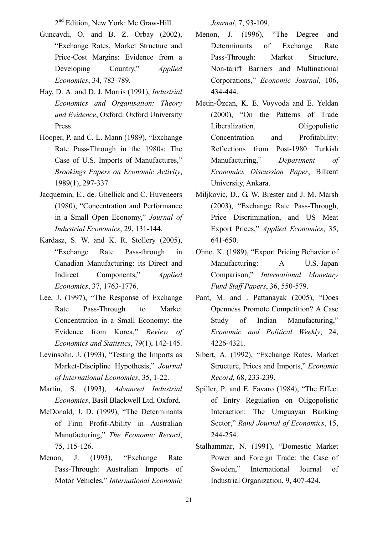2<sup>nd</sup> Edition, New York: Mc Graw-Hill.

- Guncavdi, O. and B. Z. Orbay (2002), "Exchange Rates, Market Structure and Price-Cost Margins: Evidence from a Developing Country," *Applied Economics*, 34, 783-789.
- Hay, D. A. and D. J. Morris (1991), *Industrial Economics and Organisation: Theory and Evidence*, Oxford: Oxford University Press.
- Hooper, P. and C. L. Mann (1989), "Exchange Rate Pass-Through in the 1980s: The Case of U.S. Imports of Manufactures," *Brookings Papers on Economic Activity*, 1989(1), 297-337.
- Jacquemin, E., de. Ghellick and C. Huveneers (1980), "Concentration and Performance in a Small Open Economy," *Journal of Industrial Economics*, 29, 131-144.
- Kardasz, S. W. and K. R. Stollery (2005), "Exchange Rate Pass-through in Canadian Manufacturing: its Direct and Indirect Components," *Applied Economics*, 37, 1763-1776.
- Lee, J. (1997), "The Response of Exchange Rate Pass-Through to Market Concentration in a Small Economy: the Evidence from Korea," *Review of Economics and Statistics*, 79(1), 142-145.
- Levinsohn, J. (1993), "Testing the Imports as Market-Discipline Hypothesis," *Journal of International Economics*, 35, 1-22.
- Martin, S. (1993), *Advanced Industrial Economics*, Basil Blackwell Ltd, Oxford.
- McDonald, J. D. (1999), "The Determinants of Firm Profit-Ability in Australian Manufacturing," *The Economic Record*, 75, 115-126.
- Menon, J. (1993), "Exchange Rate Pass-Through: Australian Imports of Motor Vehicles," *International Economic*

*Journal*, 7, 93-109.

- Menon, J. (1996), "The Degree and Determinants of Exchange Rate Pass-Through: Market Structure, Non-tariff Barriers and Multinational Corporations," *Economic Journal*, 106, 434-444.
- Metin-Ōzcan, K. E. Voyvoda and E. Yeldan (2000), "On the Patterns of Trade Liberalization, Oligopolistic Concentration and Profitability: Reflections from Post-1980 Turkish Manufacturing," *Department of Economics Discussion Paper*, Bilkent University, Ankara.
- Miljkovic, D., G. W. Brester and J. M. Marsh (2003), "Exchange Rate Pass-Through, Price Discrimination, and US Meat Export Prices," *Applied Economics*, 35, 641-650.
- Ohno, K. (1989), "Export Pricing Behavior of Manufacturing: A U.S.-Japan Comparison," *International Monetary Fund Staff Papers*, 36, 550-579.
- Pant, M. and . Pattanayak (2005), "Does Openness Promote Competition? A Case Study of Indian Manufacturing," *Economic and Political Weekly*, 24, 4226-4321.
- Sibert, A. (1992), "Exchange Rates, Market Structure, Prices and Imports," *Economic Record*, 68, 233-239.
- Spiller, P. and E. Favaro (1984), "The Effect of Entry Regulation on Oligopolistic Interaction: The Uruguayan Banking Sector," *Rand Journal of Economics*, 15, 244-254.
- Stalhammar, N. (1991), "Domestic Market Power and Foreign Trade: the Case of Sweden," International Journal of Industrial Organization, 9, 407-424.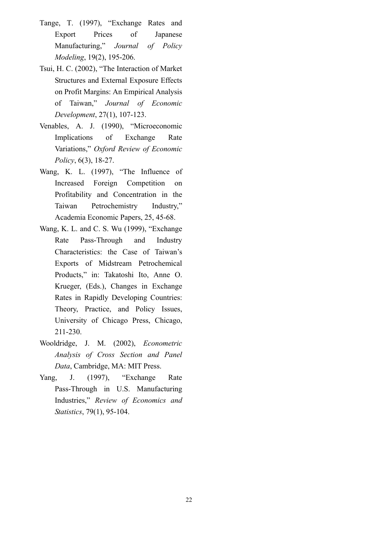- Tange, T. (1997), "Exchange Rates and Export Prices of Japanese Manufacturing," *Journal of Policy Modeling*, 19(2), 195-206.
- Tsui, H. C. (2002), "The Interaction of Market Structures and External Exposure Effects on Profit Margins: An Empirical Analysis of Taiwan," *Journal of Economic Development*, 27(1), 107-123.
- Venables, A. J. (1990), "Microeconomic Implications of Exchange Rate Variations," *Oxford Review of Economic Policy*, 6(3), 18-27.
- Wang, K. L. (1997), "The Influence of Increased Foreign Competition on Profitability and Concentration in the Taiwan Petrochemistry Industry," Academia Economic Papers, 25, 45-68.
- Wang, K. L. and C. S. Wu (1999), "Exchange Rate Pass-Through and Industry Characteristics: the Case of Taiwan's Exports of Midstream Petrochemical Products," in: Takatoshi Ito, Anne O. Krueger, (Eds.), Changes in Exchange Rates in Rapidly Developing Countries: Theory, Practice, and Policy Issues, University of Chicago Press, Chicago, 211-230.
- Wooldridge, J. M. (2002), *Econometric Analysis of Cross Section and Panel Data*, Cambridge, MA: MIT Press.
- Yang, J. (1997), "Exchange Rate Pass-Through in U.S. Manufacturing Industries," *Review of Economics and Statistics*, 79(1), 95-104.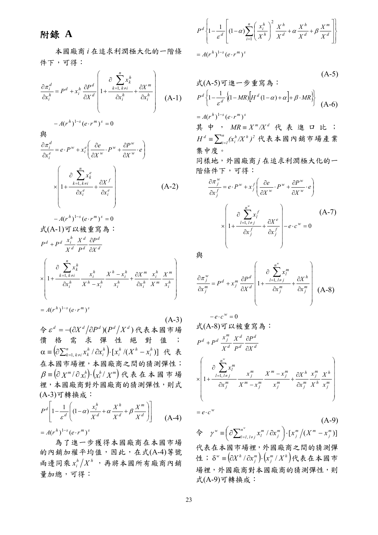## 附錄 **A**

本國廠商 *i* 在追求利潤極大化的一階條 件下,可得:

$$
\frac{\partial \pi_i^d}{\partial x_i^h} = P^d + x_i^h \frac{\partial P^d}{\partial X^d} \left( 1 + \frac{\partial \sum_{k=1, k \neq i}^{n} x_k^h}{\partial x_i^h} + \frac{\partial X^m}{\partial x_i^h} \right) \quad (A-1)
$$

$$
-A(r^h)^{1-s} (e \cdot r^m)^s = 0
$$
  

$$
\frac{\partial \pi_i^d}{\partial x_i^e} = e \cdot P^w + x_i^e \left( \frac{\partial e}{\partial X^w} \cdot P^w + \frac{\partial P^w}{\partial X^w} \cdot e \right)
$$

$$
\times \left( 1 + \frac{\partial \sum_{k=1, k \neq i}^{n} x_k^e}{\partial x_i^e} + \frac{\partial X^f}{\partial x_i^e} \right) \quad (A-2)
$$

$$
-A(r^h)^{1-s} (e \cdot r^m)^s = 0
$$
  
\n
$$
\vec{\mathbf{X}} (\mathbf{A} - \mathbf{1}) \vec{\mathbf{y}} \times \vec{\mathbf{w}} \vec{\mathbf{y}} \vec{\mathbf{z}} \vec{\mathbf{z}} \vec{\mathbf{z}} \vec{\mathbf{z}} \cdot \vec{\mathbf{z}}
$$
  
\n
$$
P^d + P^d \frac{x_i^h}{X^d} \frac{X^d}{P^d} \frac{\partial P^d}{\partial X^d}
$$
  
\n
$$
\times \left(1 + \frac{\partial \sum_{k=1, k \neq i}^{n} x_k^h}{\partial x_i^h} \frac{x_i^h}{X^h - x_i^h} - \frac{X^h - x_i^h}{X_i^h} \frac{\partial X^m}{\partial x_i^h} \frac{x_i^h}{X^m} \frac{X^m}{x_i^h}\right)
$$
  
\n
$$
= A(r^h)^{1-s} (e \cdot r^m)^s
$$

 $(A-3)$  $\diamondsuit$  ε<sup>d</sup> = -( $\partial X^d / \partial P^d$ )( $P^d / X^d$ )代表本國市場 價格需求彈性絕對值;  $\left( \!\!\! {\partial {\sum\nolimits_{k = 1,\,k \ne i}^n} x_k^h\,}/\,{\partial x_i^h} \right)\!\!\cdot\!\left[ {x_i^h\,}/({X^h} - x_i^h)\right]$ *i h*<sub>If</sub>  $\mathbf{v}$ *h i h i n*  $k=1, k\neq i$  $\alpha$  =  $\left( \partial {\sum_{k=1, \, k\neq i}^n} x_k^h \, / \, \partial x_i^h \right)$   $\cdot$   $\left[ x_i^h \, / (X^h - x_i^h) \right]$  代 表 在本國市場裡,本國廠商之間的猜測彈性;  $\beta$  ≡ (∂ χ ´´´ / ∂ x '` ) · (x '' / χ ´´' ) 代 表 在 本 國 市 場 裡,本國廠商對外國廠商的猜測彈性,則式 (A-3)可轉換成:

$$
P^d \left[ 1 - \frac{1}{\varepsilon^d} \left( (1 - \alpha) \frac{x_i^h}{X^d} + \alpha \frac{X^h}{X^d} + \beta \frac{X^m}{X^d} \right) \right]
$$
 (A-4)

 $= A(r^h)^{1-s} (e \cdot r^m)^s$ 

 為了進一步獲得本國廠商在本國市場 的內銷加權平均值,因此,在式(A-4)等號 而邊同乘 $x_i^h / X^h$ ,再將本國所有廠商內銷 量加總,可得:

$$
P^d \left\{ 1 - \frac{1}{\varepsilon^d} \left[ (1 - \alpha) \sum_{i=1}^n \left( \frac{x_i^h}{X^h} \right)^2 \frac{X^h}{X^d} + \alpha \frac{X^h}{X^d} + \beta \frac{X^m}{X^d} \right] \right\}
$$
  
=  $A(r^h)^{1-s} (e \cdot r^m)^s$ 

$$
\vec{\mathbf{f}}_{\lambda}(A-5)\mathbf{J}_{\lambda}\hat{\mathbf{f}}_{\lambda} = \mathbf{f}_{\lambda}\hat{\mathbf{f}}_{\lambda}\hat{\mathbf{f}}_{\lambda} : \nP^{d}\left\{1-\frac{1}{\varepsilon^{d}}\left\{(1-MR)\left[H^{d}(1-\alpha)+\alpha\right]+\beta\cdot MR\right\}\right\} (A-6)
$$

 $= A(r^h)^{1-s} (e \cdot r^m)^s$ 其 中, MR ≡  $X''' / X^d$  代 表 進 口 比 ;  $\equiv \sum_{i=1}^{n}$  $H^d$  =  $\sum_{i=l}^n (x_i^h/X^h)^2$  代表本國內銷市場產業 集中度。

同樣地,外國廠商 *j* 在追求利潤極大化的一 階條件下,可得:

$$
\frac{\partial \pi_j^w}{\partial x_j^f} = e \cdot P^w + x_j^f \left( \frac{\partial e}{\partial X^w} \cdot P^w + \frac{\partial P^w}{\partial X^w} \cdot e \right)
$$

$$
\times \left( 1 + \frac{\partial \sum_{l=1, l \neq j}^{n^w} x_l^f}{\partial x_j^f} + \frac{\partial X^e}{\partial x_j^f} \right) - e \cdot c^w = 0
$$
(A-7)

血

$$
\frac{\partial \pi_j^w}{\partial x_j^m} = P^d + x_j^m \frac{\partial P^d}{\partial X^d} \left( 1 + \frac{\partial \sum_{l=1, l \neq j}^{n^w} x_l^m}{\partial x_j^m} + \frac{\partial X^h}{\partial x_j^m} \right) (A-8)
$$

$$
-e \cdot c^{w} = 0
$$
  
\n
$$
\vec{\mathbf{x}}(A-8) \vec{\mathbf{y}} \times \vec{\mathbf{w}} \times \vec{\mathbf{g}} \hat{\mathbf{g}} \hat{\mathbf{a}} :
$$
  
\n
$$
P^{d} + P^{d} \frac{x_{j}^{m}}{X^{d}} \frac{X^{d}}{P^{d}} \frac{\partial P^{d}}{\partial X^{d}}
$$
  
\n
$$
\times \left(1 + \frac{\partial \sum_{l=1, l \neq j}^{n^{w}} x_{j}^{m}}{\partial x_{j}^{m}} \frac{x_{j}^{m}}{X^{m} - x_{j}^{m}} \frac{X^{m} - x_{j}^{m}}{x_{j}^{m}} + \frac{\partial X^{h}}{\partial x_{j}^{m}} \frac{x_{j}^{m}}{X^{h}} \frac{X^{h}}{x_{j}^{m}}\right)
$$
  
\n
$$
= e \cdot c^{w}
$$

 (A-9)  $\oint$   $\gamma^w \equiv \left( \frac{\partial \sum_{l=1, l \neq j}^{n^w} x_l^m / \partial x_j^m \right) \cdot [x_j^m / (X^m - x_j^m)]$ *n*  $l=l, l \neq j$  $\gamma^w \equiv \left( \partial \sum_{l=1, l \neq j}^{n^w} x_l^m / \partial x_j^m \right) \cdot \left[ x_j^m / (X^m - x_j^m) \right]$ 代表在本國市場裡,外國廠商之間的猜測彈 性;  $\delta^w = (\partial X^h / \partial x_j^m) \cdot (x_j^m / X^h)$ *m j <sup>w</sup> <sup>h</sup>* ⋅∂∂≡δ // *XxxX* 代表在本國市 場裡,外國廠商對本國廠商的猜測彈性,則 式(A-9)可轉換成: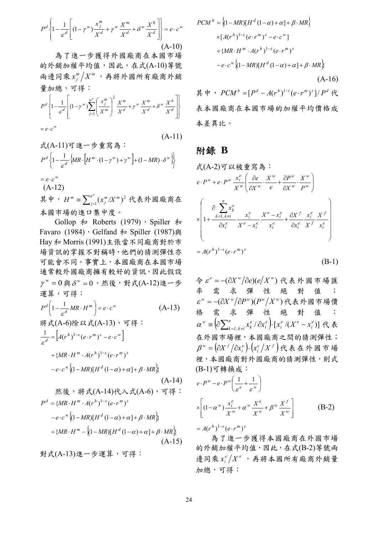$$
P^d \left\{ 1 - \frac{1}{\varepsilon^d} \left[ (1 - \gamma^w) \frac{x_j^m}{X^d} + \gamma^w \frac{X^m}{X^d} + \delta^w \frac{X^h}{X^d} \right] \right\} = e \cdot c^w
$$
\n(A-10)

 為了進一步獲得外國廠商在本國市場 的外銷加權平均值,因此,在式(A-10)等號 而邊同乘 $x_j^m$ / $X^m$ ,再將外國所有廠商外銷 量加總,可得:

$$
P^d \left\{ 1 - \frac{1}{\varepsilon^d} \left[ \left( 1 - \gamma^w \right) \sum_{j=1}^{n^w} \left( \frac{x_j^m}{X^m} \right)^2 \frac{X^m}{X^d} + \gamma^w \frac{X^m}{X^d} + \delta^w \frac{X^h}{X^d} \right] \right\}
$$
  
=  $e \cdot c^w$ 

$$
\vec{\mathbf{X}}(\mathbf{A}\text{-}11)\,\vec{\mathbf{y}}\,\underline{\mathbf{t}} - \vec{\mathbf{y}}\,\underline{\mathbf{f}}\,\underline{\mathbf{g}}\,\underline{\mathbf{A}}\,:\n P^d \left\{ 1 - \frac{1}{\varepsilon^d} \left\{ MR \cdot \left[ H^m \cdot (1 - \gamma^w) + \gamma^w \right] + (1 - MR) \cdot \delta^w \right\} \right\}
$$
\n
$$
= e \cdot c^w
$$
\n(A-11)

 (A-12) 其中,  $H^m = \sum_{j=1}^{n^w} (x_j^m / X^m)^2$  代表外國廠商在 本國市場的進口集中度。  $H^m \equiv \sum_{j=1}^n (x_j^m / X^m)$  $(x^m_i/X^m)^2$ 

Gollop  $\bar{\mathcal{F}}$  Roberts (1979), Spiller  $\bar{\mathcal{F}}$ Favaro (1984), Gelfand 和 Spiller (1987)與 Hay 和 Morris (1991)主張當不同廠商對於市 場資訊的掌握不對稱時,他們的猜測彈性亦 可能會不同。事實上,本國廠商在本國市場 通常較外國廠商擁有較好的資訊,因此假設  $\gamma^w = 0$ 與 $\delta^w = 0$ 。然後,對式(A-12)進一步 運算,可得:

$$
P^{d}\left(1-\frac{1}{\varepsilon^{d}}MR\cdot H^{m}\right)=e\cdot c^{w}
$$
\n
$$
\frac{1}{\varepsilon^{d}}\mathbb{E}\left(A-6\right)\mathbb{E}\left(\mathbb{E}\mathbb{E}\mathbb{E}\left(A-13\right)\right)\quad\text{and}\quad\frac{1}{\varepsilon^{d}}=\left[A(r^{h})^{1-s}\left(e\cdot r^{m}\right)^{s}-e\cdot c^{w}\right]
$$
\n
$$
\div\left\{MR\cdot H^{m}\cdot A(r^{h})^{1-s}\left(e\cdot r^{m}\right)^{s}\right.\right.
$$
\n
$$
\left.-e\cdot c^{w}\left\{(1-MR)[H^{d}(1-\alpha)+\alpha]+ \beta\cdot MR\right\}
$$
\n
$$
\frac{1}{\varepsilon^{d}}\mathbb{E}\left(A-14\right)\mathbb{E}\left(A-14\right)\right.\left.\left.\left.\left.\left.\mathbb{E}\left(A-14\right)\right|\mathbb{E}\right\{\mathbb{E}\left(A-6\right)\right\}\right)\quad\text{and}\quad\frac{1}{\varepsilon^{d}}=\left\{MR\cdot H^{m}\cdot A(r^{h})^{1-s}\left(e\cdot r^{m}\right)^{s}\right.\right.
$$
\n
$$
-e\cdot c^{w}\left\{(1-MR)[H^{d}(1-\alpha)+\alpha]+ \beta\cdot MR\right\}
$$
\n
$$
\div\left\{MR\cdot H^{m}-\left\{(1-MR)[H^{d}(1-\alpha)+\alpha]+ \beta\cdot MR\right\}\right\}
$$

$$
(A-15)
$$

對式(A-13)進一步運算,可得:

$$
PCM^h = \{(1 - MR)[H^d (1 - \alpha) + \alpha] + \beta \cdot MR\}
$$
  
\n
$$
\times [A(r^h)^{1-s} (e \cdot r^m)^s - e \cdot c^w]
$$
  
\n
$$
\div \{MR \cdot H^m \cdot A(r^h)^{1-s} (e \cdot r^m)^s
$$
  
\n
$$
-e \cdot c^w \{(1 - MR)[H^d (1 - \alpha) + \alpha] + \beta \cdot MR\}
$$
  
\n(A-16)

其中,  $PCM^h = [P^d - A(r^h)^{1-s} (e \cdot r^m)^s]/P^d$  代 表本國廠商在本國市場的加權平均價格成 本差異比。

### **附錄 B**

$$
\vec{x} (A-2) \vec{v} \times \vec{w} \quad \vec{g} \quad \vec{g} \quad \dot{\vec{s}}.
$$
\n
$$
e \cdot P^w + e \cdot P^w \frac{x_i^e}{X^w} \left( \frac{\partial e}{\partial X^w} \cdot \frac{X^w}{e} + \frac{\partial P^w}{\partial X^w} \cdot \frac{X^w}{P^w} \right)
$$
\n
$$
\times \left( 1 + \frac{\partial \sum_{k=1, k \neq i}^{n} x_k^e}{\partial x_i^e} \frac{X^e - x_i^e}{X^e - x_i^e} + \frac{\partial X^f}{\partial x_i^e} \frac{x_i^e}{X^f} \frac{X^f}{X_i^e} \right)
$$
\n
$$
= A(r^h)^{1-s} (e \cdot r^m)^s
$$
\n(B-1)

 $\hat{\mathcal{S}} \varepsilon^e = -(\partial X^w / \partial e)(e/X^w)$ 代表外國市場匯 率 需 求 彈 性 絕 對 值 ;  $\varepsilon^{w}$  = - $(\partial X^{w}/\partial P^{w})(P^{w}/X^{w})$ 代表外國市場價 格需求彈性絕對值;  $\Bigl(\!\partial{\sum}^n_{k=l,\,k\neq i}{x^e_k \,/\, \partial x^e_i}\Bigr) \!\cdot\! \bigl[x^e_i\,/(X^e-x^e_i)\bigr]$ *i*  $e$ *u* $ve$ *i e i n*  $k=1, k\neq i$ *e*  $\alpha^w = \left(\partial \sum_{k=1, k \neq i}^n x_k^e / \partial x_i^e\right) \cdot \left[x_i^e / (X^e - x_i^e)\right]$  代 表 在外國市場裡,本國廠商之間的猜測彈性;  $\left( \partial X^{\mathit{f}} \left/ \partial x^{\mathit{e}}_{\mathit{i}} \right) \!\!\cdot\! \left( \!x^{\mathit{e}}_{\mathit{i}} \left/ X^{\mathit{f}} \right. \right) \right)$ *e*  $\beta^{\,\text{w}} = \big(\!\!\:\partial X^{\,f}\big/\partial x^{\,e}_{i}\big) \!\!\cdot \! \big(x^{\,e}_{i}\big/\!\!\:X^{\,f}\big)$  代 表 在 外 國 市 場 裡,本國廠商對外國廠商的猜測彈性,則式 (B-1)可轉換成:

$$
e \cdot P^{w} - e \cdot P^{w} \left( \frac{1}{\varepsilon^{e}} + \frac{1}{\varepsilon^{w}} \right)
$$
  
 
$$
\times \left[ (1 - \alpha^{w}) \frac{x_{i}^{e}}{X^{w}} + \alpha^{w} \frac{X^{e}}{X^{w}} + \beta^{w} \frac{X^{f}}{X^{w}} \right]
$$
(B-2)

 $= A(r^h)^{1-s} (e \cdot r^m)^s$ 

 為了進一步獲得本國廠商在外國市場 的外銷加權平均值,因此,在式(B-2)等號兩 邊同乘 $x_i^e/X^e$ ,再將本國所有廠商外銷量 加總,可得: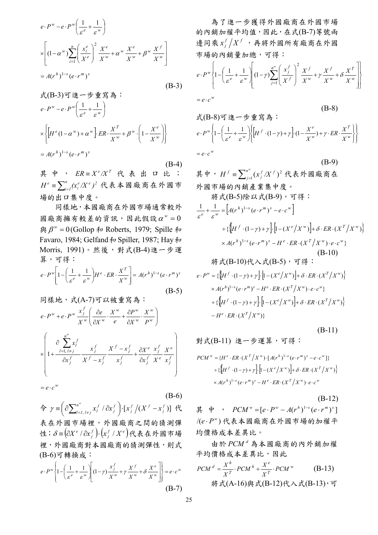$$
e \cdot P^{w} - e \cdot P^{w} \left( \frac{1}{\varepsilon^{e}} + \frac{1}{\varepsilon^{w}} \right)
$$
  
\n
$$
\times \left[ (1 - \alpha^{w}) \sum_{i=1}^{n} \left( \frac{x_{i}^{e}}{X^{e}} \right)^{2} \frac{X^{e}}{X^{w}} + \alpha^{w} \frac{X^{e}}{X^{w}} + \beta^{w} \frac{X^{f}}{X^{w}} \right]
$$
  
\n
$$
= A(r^{h})^{1-s} (e \cdot r^{m})^{s}
$$
(B-3)

$$
\vec{x}(B-3)\vec{v} \cdot \vec{z} - \vec{y} \cdot \vec{z} \cdot \vec{z}
$$
\n
$$
e \cdot P^w - e \cdot P^w \left( \frac{1}{\varepsilon^e} + \frac{1}{\varepsilon^w} \right)
$$
\n
$$
\times \left\{ \left[ H^e (1 - \alpha^w) + \alpha^w \right] \cdot ER \cdot \frac{X^T}{X^w} + \beta^w \cdot \left( 1 - \frac{X^e}{X^w} \right) \right\}
$$
\n
$$
= A(r^h)^{1-s} (e \cdot r^m)^s
$$
\n(B-4)

其中,  $ER \equiv X^e / X^T$  代表出口比;  $\equiv\sum_{i=1}^n(x_i^e/X^e)^2$ 代表本國廠商在外國市 場的出口集中度。  $H^e \equiv \sum_{i=1}^n (x_i^e / X^e)^2$ 

 同樣地,本國廠商在外國市場通常較外 圆廠商擁有較差的資訊,因此假設 $\alpha^w = 0$  $\mathbb{R}$  β<sup>*w*</sup> = 0(Gollop 和 Roberts, 1979; Spille 和 Favaro, 1984; Gelfand 和 Spiller, 1987; Hay和 Morris, 1991)。然後,對式(B-4)進一步運 算,可得:

$$
e \cdot P^w \left[ 1 - \left( \frac{1}{\varepsilon^e} + \frac{1}{\varepsilon^w} \right) H^e \cdot ER \cdot \frac{X^T}{X^w} \right] = A(r^h)^{1-s} \left( e \cdot r^m \right)^s
$$
\n(B-5)

$$
\begin{aligned}\n& \left| \mathbf{F} \right| &\stackrel{\text{def}}{=} \mathbf{F} \mathbf{F} \mathbf{F} \mathbf{F} \mathbf{F} \mathbf{F} \mathbf{F} \mathbf{F} \mathbf{F} \mathbf{F} \mathbf{F} \mathbf{F} \mathbf{F} \mathbf{F} \mathbf{F} \mathbf{F} \mathbf{F} \mathbf{F} \mathbf{F} \mathbf{F} \mathbf{F} \mathbf{F} \mathbf{F} \mathbf{F} \mathbf{F} \mathbf{F} \mathbf{F} \mathbf{F} \mathbf{F} \mathbf{F} \mathbf{F} \mathbf{F} \mathbf{F} \mathbf{F} \mathbf{F} \mathbf{F} \mathbf{F} \mathbf{F} \mathbf{F} \mathbf{F} \mathbf{F} \mathbf{F} \mathbf{F} \mathbf{F} \mathbf{F} \mathbf{F} \mathbf{F} \mathbf{F} \mathbf{F} \mathbf{F} \mathbf{F} \mathbf{F} \mathbf{F} \mathbf{F} \mathbf{F} \mathbf{F} \mathbf{F} \mathbf{F} \mathbf{F} \mathbf{F} \mathbf{F} \mathbf{F} \mathbf{F} \mathbf{F} \mathbf{F} \mathbf{F} \mathbf{F} \mathbf{F} \mathbf{F} \mathbf{F} \mathbf{F} \mathbf{F} \mathbf{F} \mathbf{F} \mathbf{F} \mathbf{F} \mathbf{F} \mathbf{F} \mathbf{F} \mathbf{F} \mathbf{F} \mathbf{F} \mathbf{F} \mathbf{F} \mathbf{F} \mathbf{F} \mathbf{F} \mathbf{F} \mathbf{F} \mathbf{F} \mathbf{F} \mathbf{F} \mathbf{F} \mathbf{F} \mathbf{F} \mathbf{F} \mathbf{F} \mathbf{F} \mathbf{F} \mathbf{F} \mathbf{F} \mathbf{F} \mathbf{F} \mathbf{F} \mathbf{F} \mathbf{F} \mathbf{F} \mathbf{F} \mathbf{F} \mathbf{F} \mathbf{F} \mathbf{F} \mathbf{F} \mathbf{F} \mathbf{F} \mathbf{F} \mathbf{F} \mathbf{F} \mathbf{F} \mathbf{F} \mathbf{F} \math
$$

 $= e \cdot c^w$ 

(B-6)  $\Leftrightarrow$   $\gamma \equiv \left( \frac{\partial \sum_{l=1, l \neq j}^{n^*} x_l^f / \partial x_j^f \right) \cdot [x_j^f / (X^f - x_j^f)]$ *n*  $l=l, l \neq j$  $\gamma$  ≡  $\left( \partial \sum_{l=1, l \neq j}^{n^w} x_l^f / \partial x_j^f \right) \cdot [x_j^f / (X^f - x_j^f)]$  代 表在外國市場裡,外國廠商之間的猜測彈 性; $\delta = (\partial X^e / \partial x_j^f) \cdot (x_j^f / X^e)$ *f δ*≡(∂X<sup>e</sup> / ∂x<sup>f</sup> ) · (x<sup>f</sup> / X<sup>e</sup>)代表在外國市場 裡,外國廠商對本國廠商的猜測彈性,則式 (B-6)可轉換成:

$$
e \cdot P^{w} \left\{ 1 - \left( \frac{1}{\varepsilon^{e}} + \frac{1}{\varepsilon^{w}} \right) \left[ (1 - \gamma) \frac{x_{j}^{f}}{X^{w}} + \gamma \frac{X^{f}}{X^{w}} + \delta \frac{X^{e}}{X^{w}} \right] \right\} = e \cdot c^{w}
$$
\n(B-7)

 為了進一步獲得外國廠商在外國市場 的內銷加權平均值,因此,在式(B-7)等號兩  $\frac{1}{2}$  同乘 $x_j^f$  /  $X^f$  , 再將外國所有廠商在外國 市場的內銷量加總,可得:

$$
e \cdot P^{w} \left\{ 1 - \left( \frac{1}{\varepsilon^{e}} + \frac{1}{\varepsilon^{w}} \right) \left[ (1 - \gamma) \sum_{j=1}^{n^{w}} \left( \frac{x_{j}^{f}}{X^{f}} \right)^{2} \frac{X^{f}}{X^{w}} + \gamma \frac{X^{f}}{X^{w}} + \delta \frac{X^{T}}{X^{w}} \right] \right\}
$$
  
\n
$$
= e \cdot c^{w}
$$
  
\n
$$
\vec{\mathbf{x}} \cdot (\mathbf{B} - 8) \vec{\mathbf{v}} \cdot \vec{\mathbf{t}} \mathbf{t} - \vec{\mathbf{v}} \cdot \vec{\mathbf{t}} \vec{\mathbf{g}} \cdot \vec{\mathbf{a}} \cdot \vec{\mathbf{a}} \cdot \vec{\mathbf{b}}
$$
  
\n
$$
e \cdot P^{w} \left\{ 1 - \left( \frac{1}{\varepsilon^{e}} + \frac{1}{\varepsilon^{w}} \right) \left[ H^{f} \cdot (1 - \gamma) + \gamma \right] \cdot (1 - \frac{X^{e}}{X^{w}}) + \gamma \cdot ER \cdot \frac{X^{T}}{X^{w}} \right] \right\}
$$
  
\n
$$
= e \cdot c^{w}
$$
  
\n
$$
(B-9)
$$

其中,  $H^f = \sum_{j=1}^{n^w} (x_j^f / X^f)^2$ 代表外國廠商在 外國市場的內銷產業集中度。  $H^f \equiv \sum_{j=1}^n (x_j^f/X^j)$  $(x_j^f/X^f)^2$ 

$$
|\mathcal{F} \cdot \mathcal{F}(B-5)| \mathcal{F} \cdot \mathcal{F} \cdot \mathcal{F}(B-9) \cdot \nabla |\mathcal{F} \cdot \mathcal{F}|
$$
\n
$$
\frac{1}{\varepsilon^{e}} + \frac{1}{\varepsilon^{w}} = [A(r^{h})^{1-s} (e \cdot r^{m})^{s} - e \cdot c^{w}]
$$
\n
$$
\div \{[H^{f} \cdot (1-\gamma) + \gamma] \cdot [1 - (X^{e}/X^{w})] + \delta \cdot ER \cdot (X^{T}/X^{w}) \} \times A(r^{h})^{1-s} (e \cdot r^{m})^{s} - H^{e} \cdot ER \cdot (X^{T}/X^{w}) \cdot e \cdot c^{w} \}
$$
\n
$$
(\text{B-10})
$$
\n
$$
|\mathcal{F} \cdot \mathcal{F}|
$$
\n
$$
e \cdot P^{w} = \{[H^{f} \cdot (1-\gamma) + \gamma] \cdot [1 - (X^{e}/X^{w})] + \delta \cdot ER \cdot (X^{T}/X^{w}) \} \times A(r^{h})^{1-s} (e \cdot r^{m})^{s} - H^{e} \cdot ER \cdot (X^{T}/X^{w}) \cdot e \cdot c^{w} \}
$$
\n
$$
\div \{[H^{f} \cdot (1-\gamma) + \gamma] \cdot [1 - (X^{e}/X^{w})] + \delta \cdot ER \cdot (X^{T}/X^{w}) \} - H^{e} \cdot ER \cdot (X^{T}/X^{w}) \}
$$

$$
(B-11)
$$

對式(B-11) 進一步運算,可得:

$$
PCM^{w} = \{H^{e} \cdot ER \cdot (X^{T}/X^{w}) \cdot [A(r^{h})^{1-s} (e \cdot r^{m})^{s} - e \cdot c^{w}]\}
$$

$$
\div \{\left[H^{f} \cdot (1-\gamma) + \gamma\right] \cdot \left[1 - (X^{e}/X^{w})\right] + \delta \cdot ER \cdot (X^{T}/X^{w})\}
$$

$$
\times A(r^{h})^{1-s} (e \cdot r^{m})^{s} - H^{e} \cdot ER \cdot (X^{T}/X^{w}) \cdot e \cdot c^{w}
$$

(B-12) 其 中,  $PCM^{w} = [e \cdot P^{w} - A(r^{h})^{1-s} (e \cdot r^{m})^{s}]$ /(e·P<sup>w</sup>)代表本國廠商在外國市場的加權平 均價格成本差異比。

由於 $PCM$ <sup>d</sup>為本國廠商的內外銷加權 平均價格成本差異比,因此

$$
PCM^{d} = \frac{X^{h}}{X^{T}} \cdot PCA^{h} + \frac{X^{e}}{X^{T}} \cdot PCA^{w}
$$
 (B-13)  
18.14  $\forall$  (B-10) 10.14  $\forall$  (B-12) 11.14  $\forall$  (B-13) 12.15  $\forall$  (B-13) 13.16  $\forall$  (B-14)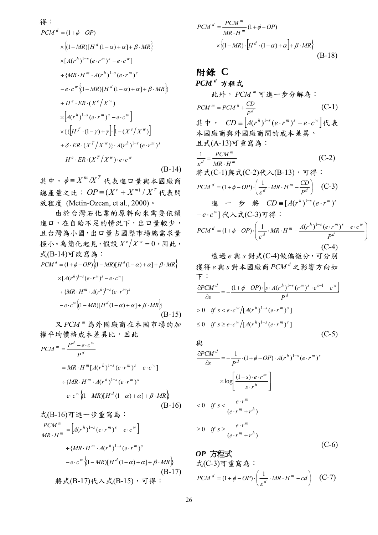$$
\mathcal{H} :
$$
\n
$$
PCM^d = (1 + \phi - OP)
$$
\n
$$
\times \{(1 - MR)[H^d (1 - \alpha) + \alpha] + \beta \cdot MR\}
$$
\n
$$
\times [A(r^h)^{1-s} (e \cdot r^m)^s - e \cdot c^w]
$$
\n
$$
\div \{MR \cdot H^m \cdot A(r^h)^{1-s} (e \cdot r^m)^s
$$
\n
$$
-e \cdot c^w \{(1 - MR)[H^d (1 - \alpha) + \alpha] + \beta \cdot MR\}
$$
\n
$$
+ H^e \cdot ER \cdot (X^e / X^w)
$$
\n
$$
\times [A(r^h)^{1-s} (e \cdot r^m)^s - e \cdot c^w]
$$
\n
$$
\times \{ \{[H^f \cdot (1 - \gamma) + \gamma] \cdot [1 - (X^e / X^w)]
$$
\n
$$
+ \delta \cdot ER \cdot (X^T / X^w) \cdot A(r^h)^{1-s} (e \cdot r^m)^s
$$
\n
$$
-H^e \cdot ER \cdot (X^T / X^w) \cdot e \cdot c^w
$$
\n(B-14)

其中,  $\phi = X^m / X^T$  代表進口量與本國廠商 總產量之比; $OP \equiv (X^e + X^m) / X^T$  代表開 放程度 (Metin-Ozcan, et al., 2000)。

 由於台灣石化業的原料向來需要依賴 進口,在自給不足的情況下,出口量較少, 且台灣為小國,出口量占國際市場總需求量 極小。為簡化起見,假設 $X^e / X^w = 0$ ,因此, 式(B-14)可改寫為:

$$
PCMd = (1 + \phi - OP) \{(1 - MR)[Hd(1 - \alpha) + \alpha] + \beta \cdot MR\}
$$
  
\n
$$
\times [A(rh)1-s(e \cdot rm)s - e \cdot cw]
$$
  
\n
$$
\div \{MR \cdot Hm \cdot A(rh)1-s(e \cdot rm)s
$$
  
\n
$$
-e \cdot cw \{(1 - MR)[Hd(1 - \alpha) + \alpha] + \beta \cdot MR\}
$$
  
\n(B-15)

又PCM<sup>™</sup>為外國廠商在本國市場的加 權平均價格成本差異比,因此

$$
PCM^{m} = \frac{P^{d} - e \cdot c^{w}}{P^{d}}
$$
  
\n
$$
= MR \cdot H^{m} [A(r^{h})^{1-s} (e \cdot r^{m})^{s} - e \cdot c^{w}]
$$
  
\n
$$
\div \{MR \cdot H^{m} \cdot A(r^{h})^{1-s} (e \cdot r^{m})^{s}
$$
  
\n
$$
-e \cdot c^{w} \{(1 - MR)[H^{d}(1 - \alpha) + \alpha] + \beta \cdot MR\}
$$
  
\n
$$
\mathcal{F}(B-16) \overline{\mathbf{J}} \circ \mathbf{E} - \mathcal{F} \circ \mathbf{E} \circ \mathbf{A} \circ \mathbf{I}.
$$

$$
\frac{PCM^{m}}{MR \cdot H^{m}} = \left[ A(r^{h})^{1-s} (e \cdot r^{m})^{s} - e \cdot c^{w} \right]
$$
  
 
$$
\div \{MR \cdot H^{m} \cdot A(r^{h})^{1-s} (e \cdot r^{m})^{s}
$$
  
 
$$
-e \cdot c^{w} \{ (1 - MR)[H^{d} (1 - \alpha) + \alpha] + \beta \cdot MR \}
$$
  
 
$$
(B-17)
$$
  
 
$$
\frac{18}{17} \times (B-17) \cdot \frac{18}{17} \times (B-15) \cdot \overline{q} \cdot \frac{18}{17}
$$

$$
PCMd = \frac{PCMm}{MR \cdot Hm} (1 + \phi - OP)
$$
  
×  $\{(1 - MR) \cdot [Hd \cdot (1 - \alpha) + \alpha] + \beta \cdot MR\}$  (B-18)

## 附錄 **C**

*PCM<sup>d</sup>* 方程式

$$
\mathbf{LCM}^{m} = PCM^{n} + \frac{CD}{P^{d}}
$$
\n
$$
\mathbf{FCM}^{m} = PCM^{h} + \frac{CD}{P^{d}}
$$
\n
$$
\mathbf{F} = \left[ A(r^{h})^{1-s} (e \cdot r^{m})^{s} - e \cdot c^{w} \right] \cdot \mathbf{R}
$$
\n
$$
\mathbf{F} = \mathbf{R} \cdot \mathbf{R} \cdot \mathbf{R}
$$
\n
$$
\mathbf{R} \cdot \mathbf{R} \cdot \mathbf{R} \cdot \mathbf{R} \cdot \mathbf{R}
$$
\n
$$
\mathbf{L} \cdot \mathbf{R} \cdot (\mathbf{A} - 13) \cdot \mathbf{F} \cdot \mathbf{R} \cdot \mathbf{R}
$$
\n
$$
\mathbf{L} \cdot \mathbf{R} \cdot \mathbf{R} \cdot \mathbf{R}
$$
\n
$$
\mathbf{L} \cdot \mathbf{R} \cdot \mathbf{R} \cdot \mathbf{R}
$$
\n
$$
\mathbf{L} \cdot \mathbf{R} \cdot \mathbf{R} \cdot \mathbf{R}
$$
\n
$$
\mathbf{L} \cdot \mathbf{R} \cdot \mathbf{R} \cdot \mathbf{R}
$$
\n
$$
\mathbf{L} \cdot \mathbf{R} \cdot \mathbf{R} \cdot \mathbf{R}
$$
\n
$$
\mathbf{L} \cdot \mathbf{R} \cdot \mathbf{R} \cdot \mathbf{R}
$$
\n
$$
\mathbf{L} \cdot \mathbf{R} \cdot \mathbf{R} \cdot \mathbf{R}
$$
\n
$$
\mathbf{L} \cdot \mathbf{R} \cdot \mathbf{R} \cdot \mathbf{R}
$$
\n
$$
\mathbf{L} \cdot \mathbf{R} \cdot \mathbf{R}
$$
\n
$$
\mathbf{L} \cdot \mathbf{R} \cdot \mathbf{R}
$$
\n
$$
\mathbf{L} \cdot \mathbf{R} \cdot \mathbf{R}
$$
\n
$$
\mathbf{L} \cdot \mathbf{R} \cdot \mathbf{R}
$$
\n
$$
\mathbf{L} \cdot \mathbf{R} \cdot \mathbf{R}
$$
\n
$$
\mathbf{L} \cdot \mathbf{R} \cdot \mathbf{R}
$$
\n
$$
\mathbf{L} \cdot
$$

⎟ ⎟ ⎠ ⎞

$$
\frac{1}{3}\frac{1}{3}\frac{1}{3}\frac{1}{3}\frac{1}{3}\frac{1}{3}\frac{1}{3}\frac{1}{3}\frac{1}{3}\frac{1}{3}\frac{1}{3}\frac{1}{3}\frac{1}{3}\frac{1}{3}\frac{1}{3}\frac{1}{3}\frac{1}{3}\frac{1}{3}\frac{1}{3}\frac{1}{3}\frac{1}{3}\frac{1}{3}\frac{1}{3}\frac{1}{3}\frac{1}{3}\frac{1}{3}\frac{1}{3}\frac{1}{3}\frac{1}{3}\frac{1}{3}\frac{1}{3}\frac{1}{3}\frac{1}{3}\frac{1}{3}\frac{1}{3}\frac{1}{3}\frac{1}{3}\frac{1}{3}\frac{1}{3}\frac{1}{3}\frac{1}{3}\frac{1}{3}\frac{1}{3}\frac{1}{3}\frac{1}{3}\frac{1}{3}\frac{1}{3}\frac{1}{3}\frac{1}{3}\frac{1}{3}\frac{1}{3}\frac{1}{3}\frac{1}{3}\frac{1}{3}\frac{1}{3}\frac{1}{3}\frac{1}{3}\frac{1}{3}\frac{1}{3}\frac{1}{3}\frac{1}{3}\frac{1}{3}\frac{1}{3}\frac{1}{3}\frac{1}{3}\frac{1}{3}\frac{1}{3}\frac{1}{3}\frac{1}{3}\frac{1}{3}\frac{1}{3}\frac{1}{3}\frac{1}{3}\frac{1}{3}\frac{1}{3}\frac{1}{3}\frac{1}{3}\frac{1}{3}\frac{1}{3}\frac{1}{3}\frac{1}{3}\frac{1}{3}\frac{1}{3}\frac{1}{3}\frac{1}{3}\frac{1}{3}\frac{1}{3}\frac{1}{3}\frac{1}{3}\frac{1}{3}\frac{1}{3}\frac{1}{3}\frac{1}{3}\frac{1}{3}\frac{1}{3}\frac{1}{3}\frac{1}{3}\frac{1}{3}\frac{1}{3}\frac{1}{3}\frac{1}{3}\frac{1}{3}\frac{1}{3}\frac{1}{3}\frac{1}{3}\frac{1}{3}\frac{1}{3}\frac{1}{3}\frac{1}{3}\frac{1}{3}\frac{1}{3}\frac{1}{3}\frac{1}{3}\frac{1}{3}\frac{1}{3}\frac{1}{3}\frac{1}{3}\frac{1}{3}\frac{1}{3}\frac{1}{3}\frac{1}{3}\frac{1}{3}\frac{1}{3}\frac{1}{3}\frac{1}{3}\frac{1}{3}\frac
$$

$$
\frac{\partial PCM}{\partial e}^{d} = -\frac{(1+\phi-OP) \cdot [s \cdot A(r^{h})^{1-s} (r^{m})^{s} \cdot e^{s-1} - c^{w}]}{P^{d}}
$$
  
> 0 if s < e \cdot c^{w} / [A(r^{h})^{1-s} (e \cdot r^{m})^{s}]  

$$
\leq 0 \quad \text{if } s \geq e \cdot c^{w} / [A(r^{h})^{1-s} (e \cdot r^{m})^{s}]
$$
(C-5)

與

$$
\frac{\partial PCM^{d}}{\partial s} = -\frac{1}{P^{d}} \cdot (1 + \phi - OP) \cdot A(r^{h})^{1-s} (e \cdot r^{m})^{s}
$$

$$
\times \log \left[ \frac{(1 - s) \cdot e \cdot r^{m}}{s \cdot r^{h}} \right]
$$

$$
< 0 \quad \text{if } s < \frac{e \cdot r^{m}}{(e \cdot r^{m} + r^{h})}
$$

$$
\ge 0 \quad \text{if } s \ge \frac{e \cdot r^{m}}{(e \cdot r^{m} + r^{h})}
$$
(C-6)

*OP* 方程式 式(C-3)可重寫為: ⎟ ⎠ <sup>⎞</sup> <sup>⎜</sup> ⎝ <sup>⎛</sup> *PCM OP* −⋅⋅⋅−+= *cdHMR <sup>m</sup> d d* ε <sup>φ</sup> <sup>1</sup> )1( (C-7)